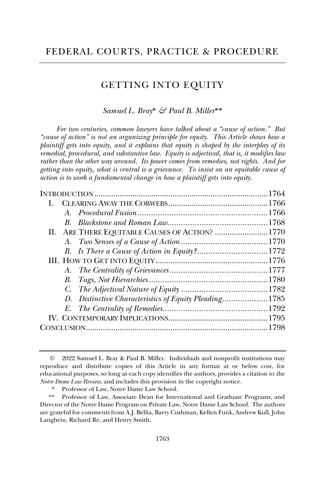# GETTING INTO EQUITY

# *Samuel L. Bray*\* *& Paul B. Miller*\*\*

*For two centuries, common lawyers have talked about a "cause of action." But "cause of action" is not an organizing principle for equity. This Article shows how a plaintiff gets into equity, and it explains that equity is shaped by the interplay of its remedial, procedural, and substantive law. Equity is adjectival, that is, it modifies law rather than the other way around. Its power comes from remedies, not rights. And for getting into equity, what is central is a grievance. To insist on an equitable cause of action is to work a fundamental change in how a plaintiff gets into equity.*

| L |                                                       |  |
|---|-------------------------------------------------------|--|
|   |                                                       |  |
|   |                                                       |  |
|   | II. ARE THERE EQUITABLE CAUSES OF ACTION? 1770        |  |
|   |                                                       |  |
|   |                                                       |  |
|   |                                                       |  |
|   |                                                       |  |
|   |                                                       |  |
|   |                                                       |  |
|   | D. Distinctive Characteristics of Equity Pleading1785 |  |
|   |                                                       |  |
|   |                                                       |  |
|   |                                                       |  |
|   |                                                       |  |

<sup>©</sup> 2022 Samuel L. Bray & Paul B. Miller. Individuals and nonprofit institutions may reproduce and distribute copies of this Article in any format at or below cost, for educational purposes, so long as each copy identifies the authors, provides a citation to the *Notre Dame Law Review*, and includes this provision in the copyright notice.

Professor of Law, Notre Dame Law School.

<sup>\*\*</sup> Professor of Law, Associate Dean for International and Graduate Programs, and Director of the Notre Dame Program on Private Law, Notre Dame Law School. The authors are grateful for comments from A.J. Bellia, Barry Cushman, Kellen Funk, Andrew Kull, John Langbein, Richard Re, and Henry Smith.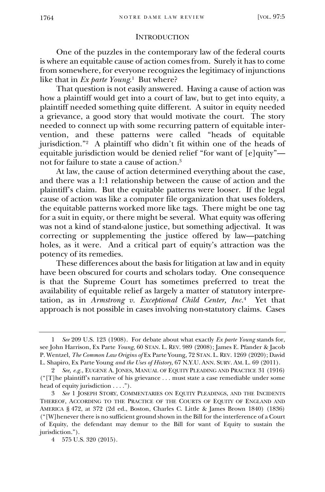#### **INTRODUCTION**

One of the puzzles in the contemporary law of the federal courts is where an equitable cause of action comes from. Surely it has to come from somewhere, for everyone recognizes the legitimacy of injunctions like that in *Ex parte Young*.<sup>1</sup> But where?

<span id="page-1-0"></span>That question is not easily answered. Having a cause of action was how a plaintiff would get into a court of law, but to get into equity, a plaintiff needed something quite different. A suitor in equity needed a grievance, a good story that would motivate the court. The story needed to connect up with some recurring pattern of equitable intervention, and these patterns were called "heads of equitable jurisdiction."<sup>2</sup> A plaintiff who didn't fit within one of the heads of equitable jurisdiction would be denied relief "for want of [e]quity" not for failure to state a cause of action.<sup>3</sup>

At law, the cause of action determined everything about the case, and there was a 1:1 relationship between the cause of action and the plaintiff's claim. But the equitable patterns were looser. If the legal cause of action was like a computer file organization that uses folders, the equitable patterns worked more like tags. There might be one tag for a suit in equity, or there might be several. What equity was offering was not a kind of stand-alone justice, but something adjectival. It was correcting or supplementing the justice offered by law—patching holes, as it were. And a critical part of equity's attraction was the potency of its remedies.

These differences about the basis for litigation at law and in equity have been obscured for courts and scholars today. One consequence is that the Supreme Court has sometimes preferred to treat the availability of equitable relief as largely a matter of statutory interpretation, as in *Armstrong v. Exceptional Child Center, Inc.*<sup>4</sup> Yet that approach is not possible in cases involving non-statutory claims. Cases

<sup>1</sup> *See* 209 U.S. 123 (1908). For debate about what exactly *Ex parte Young* stands for, see John Harrison, Ex Parte *Young*, 60 STAN. L. REV. 989 (2008); James E. Pfander & Jacob P. Wentzel, *The Common Law Origins of* Ex Parte Young, 72 STAN. L. REV. 1269 (2020); David L. Shapiro, Ex Parte Young *and the Uses of History*, 67 N.Y.U. ANN. SURV. AM. L. 69 (2011).

<sup>2</sup> *See, e.g.*, EUGENE A. JONES, MANUAL OF EQUITY PLEADING AND PRACTICE 31 (1916) ("[T]he plaintiff's narrative of his grievance . . . must state a case remediable under some head of equity jurisdiction . . . .").

<sup>3</sup> *See* 1 JOSEPH STORY, COMMENTARIES ON EQUITY PLEADINGS, AND THE INCIDENTS THEREOF, ACCORDING TO THE PRACTICE OF THE COURTS OF EQUITY OF ENGLAND AND AMERICA § 472, at 372 (2d ed., Boston, Charles C. Little & James Brown 1840) (1836) ("[W]henever there is no sufficient ground shown in the Bill for the interference of a Court of Equity, the defendant may demur to the Bill for want of Equity to sustain the jurisdiction.").

<sup>4</sup> 575 U.S. 320 (2015).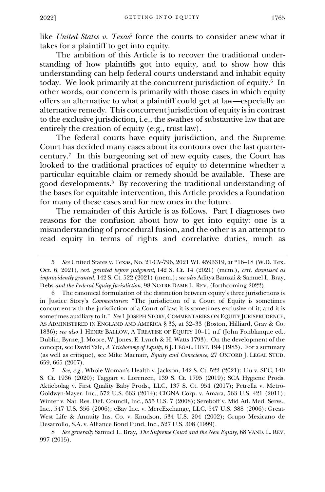like *United States v. Texas*<sup>5</sup> force the courts to consider anew what it takes for a plaintiff to get into equity.

The ambition of this Article is to recover the traditional understanding of how plaintiffs got into equity, and to show how this understanding can help federal courts understand and inhabit equity today. We look primarily at the concurrent jurisdiction of equity.<sup>6</sup> In other words, our concern is primarily with those cases in which equity offers an alternative to what a plaintiff could get at law—especially an alternative remedy. This concurrent jurisdiction of equity is in contrast to the exclusive jurisdiction, i.e., the swathes of substantive law that are entirely the creation of equity (e.g., trust law).

The federal courts have equity jurisdiction, and the Supreme Court has decided many cases about its contours over the last quartercentury.<sup>7</sup> In this burgeoning set of new equity cases, the Court has looked to the traditional practices of equity to determine whether a particular equitable claim or remedy should be available. These are good developments.<sup>8</sup> By recovering the traditional understanding of the bases for equitable intervention, this Article provides a foundation for many of these cases and for new ones in the future.

The remainder of this Article is as follows. Part I diagnoses two reasons for the confusion about how to get into equity: one is a misunderstanding of procedural fusion, and the other is an attempt to read equity in terms of rights and correlative duties, much as

<sup>5</sup> *See* United States v. Texas, No. 21-CV-796, 2021 WL 4593319, at \*16–18 (W.D. Tex. Oct. 6, 2021), *cert. granted before judgment*, 142 S. Ct. 14 (2021) (mem.), *cert. dismissed as improvidently granted*, 142 S. Ct. 522 (2021) (mem.); *see also* Aditya Bamzai & Samuel L. Bray, Debs *and the Federal Equity Jurisdiction*, 98 NOTRE DAME L. REV. (forthcoming 2022).

The canonical formulation of the distinction between equity's three jurisdictions is in Justice Story's *Commentaries*: "The jurisdiction of a Court of Equity is sometimes concurrent with the jurisdiction of a Court of law; it is sometimes exclusive of it; and it is sometimes auxiliary to it." *See* 1 JOSEPH STORY, COMMENTARIES ON EQUITY JURISPRUDENCE, AS ADMINISTERED IN ENGLAND AND AMERICA § 33, at 32–33 (Boston, Hilliard, Gray & Co. 1836); *see also* 1 HENRY BALLOW, A TREATISE OF EQUITY 10–11 n.f (John Fonblanque ed., Dublin, Byrne, J. Moore, W. Jones, E. Lynch & H. Watts 1793). On the development of the concept, see David Yale, *A Trichotomy of Equity*, 6 J. LEGAL. HIST. 194 (1985). For a summary (as well as critique), see Mike Macnair, *Equity and Conscience*, 27 OXFORD J. LEGAL STUD. 659, 665 (2007).

<sup>7</sup> *See, e.g.*, Whole Woman's Health v. Jackson, 142 S. Ct. 522 (2021); Liu v. SEC, 140 S. Ct. 1936 (2020); Taggart v. Lorenzen, 139 S. Ct. 1795 (2019); SCA Hygiene Prods. Aktiebolag v. First Quality Baby Prods., LLC, 137 S. Ct. 954 (2017); Petrella v. Metro-Goldwyn-Mayer, Inc., 572 U.S. 663 (2014); CIGNA Corp. v. Amara, 563 U.S. 421 (2011); Winter v. Nat. Res. Def. Council, Inc., 555 U.S. 7 (2008); Sereboff v. Mid Atl. Med. Servs., Inc., 547 U.S. 356 (2006); eBay Inc. v. MercExchange, LLC, 547 U.S. 388 (2006); Great-West Life & Annuity Ins. Co. v. Knudson, 534 U.S. 204 (2002); Grupo Mexicano de Desarrollo, S.A. v. Alliance Bond Fund, Inc., 527 U.S. 308 (1999).

<sup>8</sup> *See generally* Samuel L. Bray, *The Supreme Court and the New Equity*, 68 VAND. L. REV. 997 (2015).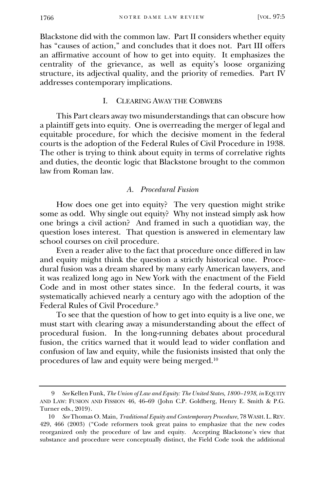Blackstone did with the common law. Part II considers whether equity has "causes of action," and concludes that it does not. Part III offers an affirmative account of how to get into equity. It emphasizes the centrality of the grievance, as well as equity's loose organizing structure, its adjectival quality, and the priority of remedies. Part  $\tilde{N}$ addresses contemporary implications.

# I. CLEARING AWAY THE COBWEBS

<span id="page-3-0"></span>This Part clears away two misunderstandings that can obscure how a plaintiff gets into equity. One is overreading the merger of legal and equitable procedure, for which the decisive moment in the federal courts is the adoption of the Federal Rules of Civil Procedure in 1938. The other is trying to think about equity in terms of correlative rights and duties, the deontic logic that Blackstone brought to the common law from Roman law.

# *A. Procedural Fusion*

<span id="page-3-1"></span>How does one get into equity? The very question might strike some as odd. Why single out equity? Why not instead simply ask how one brings a civil action? And framed in such a quotidian way, the question loses interest. That question is answered in elementary law school courses on civil procedure.

Even a reader alive to the fact that procedure once differed in law and equity might think the question a strictly historical one. Procedural fusion was a dream shared by many early American lawyers, and it was realized long ago in New York with the enactment of the Field Code and in most other states since. In the federal courts, it was systematically achieved nearly a century ago with the adoption of the Federal Rules of Civil Procedure.<sup>9</sup>

To see that the question of how to get into equity is a live one, we must start with clearing away a misunderstanding about the effect of procedural fusion. In the long-running debates about procedural fusion, the critics warned that it would lead to wider conflation and confusion of law and equity, while the fusionists insisted that only the procedures of law and equity were being merged.<sup>10</sup>

<sup>9</sup> *See* Kellen Funk, *The Union of Law and Equity: The United States, 1800–1938*, *in* EQUITY AND LAW: FUSION AND FISSION 46, 46–69 (John C.P. Goldberg, Henry E. Smith & P.G. Turner eds., 2019).

<sup>10</sup> *See* Thomas O. Main, *Traditional Equity and Contemporary Procedure*, 78 WASH. L.REV. 429, 466 (2003) ("Code reformers took great pains to emphasize that the new codes reorganized only the procedure of law and equity. Accepting Blackstone's view that substance and procedure were conceptually distinct, the Field Code took the additional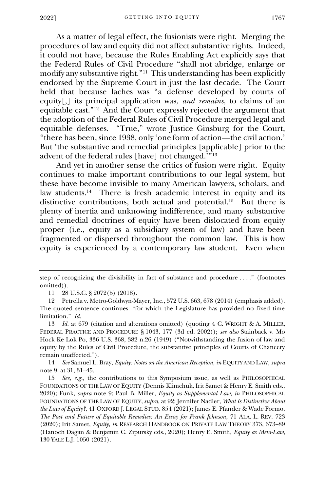As a matter of legal effect, the fusionists were right. Merging the procedures of law and equity did not affect substantive rights. Indeed, it could not have, because the Rules Enabling Act explicitly says that the Federal Rules of Civil Procedure "shall not abridge, enlarge or modify any substantive right."<sup>11</sup> This understanding has been explicitly endorsed by the Supreme Court in just the last decade. The Court held that because laches was "a defense developed by courts of equity[,] its principal application was, *and remains*, to claims of an equitable cast."<sup>12</sup> And the Court expressly rejected the argument that the adoption of the Federal Rules of Civil Procedure merged legal and equitable defenses. "True," wrote Justice Ginsburg for the Court, "there has been, since 1938, only 'one form of action—the civil action.' But 'the substantive and remedial principles [applicable] prior to the advent of the federal rules [have] not changed.'"<sup>13</sup>

And yet in another sense the critics of fusion were right. Equity continues to make important contributions to our legal system, but these have become invisible to many American lawyers, scholars, and law students.<sup>14</sup> There is fresh academic interest in equity and its distinctive contributions, both actual and potential.<sup>15</sup> But there is plenty of inertia and unknowing indifference, and many substantive and remedial doctrines of equity have been dislocated from equity proper (i.e., equity as a subsidiary system of law) and have been fragmented or dispersed throughout the common law. This is how equity is experienced by a contemporary law student. Even when

14 *See* Samuel L. Bray, *Equity: Notes on the American Reception*, *in* EQUITY AND LAW, *supra*  note 9, at 31, 31–45.

step of recognizing the divisibility in fact of substance and procedure . . . ." (footnotes omitted)).

<sup>11</sup> 28 U.S.C. § 2072(b) (2018).

<sup>12</sup> Petrella v. Metro-Goldwyn-Mayer, Inc., 572 U.S. 663, 678 (2014) (emphasis added). The quoted sentence continues: "for which the Legislature has provided no fixed time limitation." *Id.*

<sup>13</sup> *Id.* at 679 (citation and alterations omitted) (quoting 4 C. WRIGHT & A. MILLER, FEDERAL PRACTICE AND PROCEDURE § 1043, 177 (3d ed. 2002)); *see also* Stainback v. Mo Hock Ke Lok Po, 336 U.S. 368, 382 n.26 (1949) ("Notwithstanding the fusion of law and equity by the Rules of Civil Procedure, the substantive principles of Courts of Chancery remain unaffected.").

<sup>15</sup> *See, e.g.*, the contributions to this Symposium issue, as well as PHILOSOPHICAL FOUNDATIONS OF THE LAW OF EQUITY (Dennis Klimchuk, Irit Samet & Henry E. Smith eds., 2020); Funk, *supra* note 9; Paul B. Miller, *Equity as Supplemental Law*, *in* PHILOSOPHICAL FOUNDATIONS OF THE LAW OF EQUITY, *supra*, at 92; Jennifer Nadler, *What Is Distinctive About the Law of Equity?*, 41 OXFORD J. LEGAL STUD. 854 (2021); James E. Pfander & Wade Formo, *The Past and Future of Equitable Remedies: An Essay for Frank Johnson*, 71 ALA. L. REV. 723 (2020); Irit Samet, *Equity*, *in* RESEARCH HANDBOOK ON PRIVATE LAW THEORY 373, 373–89 (Hanoch Dagan & Benjamin C. Zipursky eds., 2020); Henry E. Smith, *Equity as Meta-Law*, 130 YALE L.J. 1050 (2021).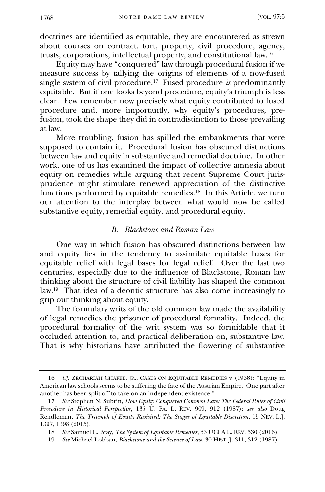doctrines are identified as equitable, they are encountered as strewn about courses on contract, tort, property, civil procedure, agency, trusts, corporations, intellectual property, and constitutional law.<sup>16</sup>

Equity may have "conquered" law through procedural fusion if we measure success by tallying the origins of elements of a now-fused single system of civil procedure.<sup>17</sup> Fused procedure *is* predominantly equitable. But if one looks beyond procedure, equity's triumph is less clear. Few remember now precisely what equity contributed to fused procedure and, more importantly, why equity's procedures, prefusion, took the shape they did in contradistinction to those prevailing at law.

More troubling, fusion has spilled the embankments that were supposed to contain it. Procedural fusion has obscured distinctions between law and equity in substantive and remedial doctrine. In other work, one of us has examined the impact of collective amnesia about equity on remedies while arguing that recent Supreme Court jurisprudence might stimulate renewed appreciation of the distinctive functions performed by equitable remedies.<sup>18</sup> In this Article, we turn our attention to the interplay between what would now be called substantive equity, remedial equity, and procedural equity.

# *B. Blackstone and Roman Law*

<span id="page-5-0"></span>One way in which fusion has obscured distinctions between law and equity lies in the tendency to assimilate equitable bases for equitable relief with legal bases for legal relief. Over the last two centuries, especially due to the influence of Blackstone, Roman law thinking about the structure of civil liability has shaped the common law.<sup>19</sup> That idea of a deontic structure has also come increasingly to grip our thinking about equity.

The formulary writs of the old common law made the availability of legal remedies the prisoner of procedural formality. Indeed, the procedural formality of the writ system was so formidable that it occluded attention to, and practical deliberation on, substantive law. That is why historians have attributed the flowering of substantive

<sup>16</sup> *Cf.* ZECHARIAH CHAFEE, JR., CASES ON EQUITABLE REMEDIES v (1938): "Equity in American law schools seems to be suffering the fate of the Austrian Empire. One part after another has been split off to take on an independent existence."

<sup>17</sup> *See* Stephen N. Subrin, *How Equity Conquered Common Law: The Federal Rules of Civil Procedure in Historical Perspective*, 135 U. PA. L. REV. 909, 912 (1987); *see also* Doug Rendleman, *The Triumph of Equity Revisited: The Stages of Equitable Discretion*, 15 NEV. L.J. 1397, 1398 (2015).

<sup>18</sup> *See* Samuel L. Bray, *The System of Equitable Remedies*, 63 UCLA L. REV. 530 (2016).

<sup>19</sup> *See* Michael Lobban, *Blackstone and the Science of Law*, 30 HIST. J. 311, 312 (1987).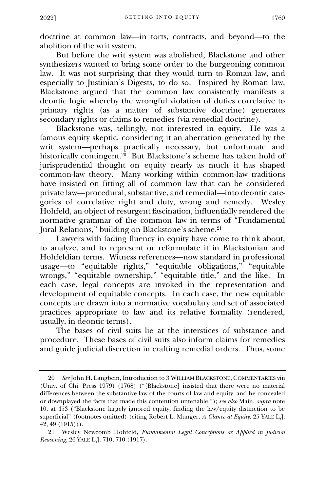doctrine at common law—in torts, contracts, and beyond—to the abolition of the writ system.

But before the writ system was abolished, Blackstone and other synthesizers wanted to bring some order to the burgeoning common law. It was not surprising that they would turn to Roman law, and especially to Justinian's Digests, to do so. Inspired by Roman law, Blackstone argued that the common law consistently manifests a deontic logic whereby the wrongful violation of duties correlative to primary rights (as a matter of substantive doctrine) generates secondary rights or claims to remedies (via remedial doctrine).

Blackstone was, tellingly, not interested in equity. He was a famous equity skeptic, considering it an aberration generated by the writ system—perhaps practically necessary, but unfortunate and historically contingent.<sup>20</sup> But Blackstone's scheme has taken hold of jurisprudential thought on equity nearly as much it has shaped common-law theory. Many working within common-law traditions have insisted on fitting all of common law that can be considered private law—procedural, substantive, and remedial—into deontic categories of correlative right and duty, wrong and remedy. Wesley Hohfeld, an object of resurgent fascination, influentially rendered the normative grammar of the common law in terms of "Fundamental Jural Relations," building on Blackstone's scheme.<sup>21</sup>

Lawyers with fading fluency in equity have come to think about, to analyze, and to represent or reformulate it in Blackstonian and Hohfeldian terms. Witness references—now standard in professional usage—to "equitable rights," "equitable obligations," "equitable wrongs," "equitable ownership," "equitable title," and the like. In each case, legal concepts are invoked in the representation and development of equitable concepts. In each case, the new equitable concepts are drawn into a normative vocabulary and set of associated practices appropriate to law and its relative formality (rendered, usually, in deontic terms).

The bases of civil suits lie at the interstices of substance and procedure. These bases of civil suits also inform claims for remedies and guide judicial discretion in crafting remedial orders. Thus, some

<sup>20</sup> *See* John H. Langbein, Introduction to 3 WILLIAM BLACKSTONE, COMMENTARIES viii (Univ. of Chi. Press 1979) (1768) ("[Blackstone] insisted that there were no material differences between the substantive law of the courts of law and equity, and he concealed or downplayed the facts that made this contention untenable."); *see also* Main, *supra* note 10, at 453 ("Blackstone largely ignored equity, finding the law/equity distinction to be superficial" (footnotes omitted) (citing Robert L. Munger, *A Glance at Equity*, 25 YALE L.J. 42, 49 (1915))).

<sup>21</sup> Wesley Newcomb Hohfeld, *Fundamental Legal Conceptions as Applied in Judicial Reasoning*, 26 YALE L.J. 710, 710 (1917).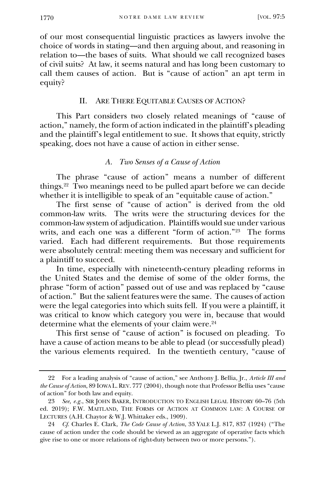of our most consequential linguistic practices as lawyers involve the choice of words in stating—and then arguing about, and reasoning in relation to—the bases of suits. What should we call recognized bases of civil suits? At law, it seems natural and has long been customary to call them causes of action. But is "cause of action" an apt term in equity?

# II. ARE THERE EQUITABLE CAUSES OF ACTION?

<span id="page-7-0"></span>This Part considers two closely related meanings of "cause of action," namely, the form of action indicated in the plaintiff's pleading and the plaintiff's legal entitlement to sue. It shows that equity, strictly speaking, does not have a cause of action in either sense.

# *A. Two Senses of a Cause of Action*

The phrase "cause of action" means a number of different things.<sup>22</sup> Two meanings need to be pulled apart before we can decide whether it is intelligible to speak of an "equitable cause of action."

<span id="page-7-1"></span>The first sense of "cause of action" is derived from the old common-law writs. The writs were the structuring devices for the common-law system of adjudication. Plaintiffs would sue under various writs, and each one was a different "form of action."<sup>23</sup> The forms varied. Each had different requirements. But those requirements were absolutely central: meeting them was necessary and sufficient for a plaintiff to succeed.

In time, especially with nineteenth-century pleading reforms in the United States and the demise of some of the older forms, the phrase "form of action" passed out of use and was replaced by "cause of action." But the salient features were the same. The causes of action were the legal categories into which suits fell. If you were a plaintiff, it was critical to know which category you were in, because that would determine what the elements of your claim were.<sup>24</sup>

This first sense of "cause of action" is focused on pleading. To have a cause of action means to be able to plead (or successfully plead) the various elements required. In the twentieth century, "cause of

<sup>22</sup> For a leading analysis of "cause of action," see Anthony J. Bellia, Jr., *Article III and the Cause of Action*, 89 IOWA L.REV. 777 (2004), though note that Professor Bellia uses "cause of action" for both law and equity.

<sup>23</sup> *See, e.g.*, SIR JOHN BAKER, INTRODUCTION TO ENGLISH LEGAL HISTORY 60–76 (5th ed. 2019); F.W. MAITLAND, THE FORMS OF ACTION AT COMMON LAW: A COURSE OF LECTURES (A.H. Chaytor & W.J. Whittaker eds., 1909).

<sup>24</sup> *Cf.* Charles E. Clark, *The Code Cause of Action*, 33 YALE L.J. 817, 837 (1924) ("The cause of action under the code should be viewed as an aggregate of operative facts which give rise to one or more relations of right-duty between two or more persons.").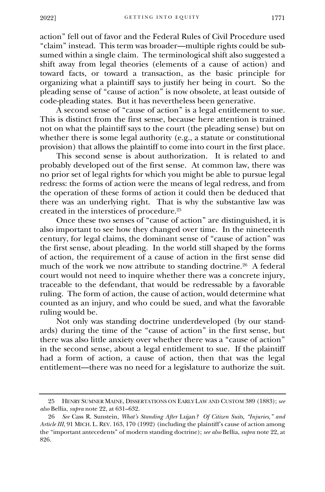action" fell out of favor and the Federal Rules of Civil Procedure used "claim" instead. This term was broader—multiple rights could be subsumed within a single claim. The terminological shift also suggested a shift away from legal theories (elements of a cause of action) and toward facts, or toward a transaction, as the basic principle for organizing what a plaintiff says to justify her being in court. So the pleading sense of "cause of action" is now obsolete, at least outside of code-pleading states. But it has nevertheless been generative.

A second sense of "cause of action" is a legal entitlement to sue. This is distinct from the first sense, because here attention is trained not on what the plaintiff says to the court (the pleading sense) but on whether there is some legal authority (e.g., a statute or constitutional provision) that allows the plaintiff to come into court in the first place.

This second sense is about authorization. It is related to and probably developed out of the first sense. At common law, there was no prior set of legal rights for which you might be able to pursue legal redress: the forms of action were the means of legal redress, and from the operation of these forms of action it could then be deduced that there was an underlying right. That is why the substantive law was created in the interstices of procedure.<sup>25</sup>

Once these two senses of "cause of action" are distinguished, it is also important to see how they changed over time. In the nineteenth century, for legal claims, the dominant sense of "cause of action" was the first sense, about pleading. In the world still shaped by the forms of action, the requirement of a cause of action in the first sense did much of the work we now attribute to standing doctrine.<sup>26</sup> A federal court would not need to inquire whether there was a concrete injury, traceable to the defendant, that would be redressable by a favorable ruling. The form of action, the cause of action, would determine what counted as an injury, and who could be sued, and what the favorable ruling would be.

Not only was standing doctrine underdeveloped (by our standards) during the time of the "cause of action" in the first sense, but there was also little anxiety over whether there was a "cause of action" in the second sense, about a legal entitlement to sue. If the plaintiff had a form of action, a cause of action, then that was the legal entitlement—there was no need for a legislature to authorize the suit.

<sup>25</sup> HENRY SUMNER MAINE, DISSERTATIONS ON EARLY LAW AND CUSTOM 389 (1883); *see also* Bellia, *supra* note 22, at 631–632.

<sup>26</sup> *See* Cass R. Sunstein, *What's Standing After* Lujan*? Of Citizen Suits, "Injuries," and Article III*, 91 MICH. L. REV. 163, 170 (1992) (including the plaintiff's cause of action among the "important antecedents" of modern standing doctrine); *see also* Bellia, *supra* note 22, at 826.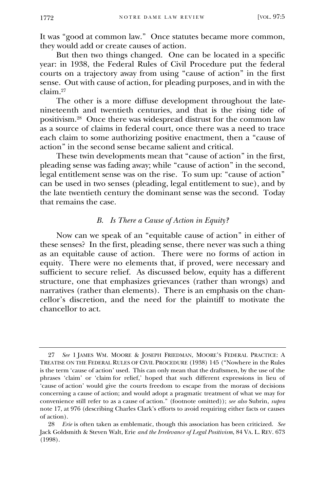It was "good at common law." Once statutes became more common, they would add or create causes of action.

But then two things changed. One can be located in a specific year: in 1938, the Federal Rules of Civil Procedure put the federal courts on a trajectory away from using "cause of action" in the first sense. Out with cause of action, for pleading purposes, and in with the claim.<sup>27</sup>

The other is a more diffuse development throughout the latenineteenth and twentieth centuries, and that is the rising tide of positivism.<sup>28</sup> Once there was widespread distrust for the common law as a source of claims in federal court, once there was a need to trace each claim to some authorizing positive enactment, then a "cause of action" in the second sense became salient and critical.

These twin developments mean that "cause of action" in the first, pleading sense was fading away; while "cause of action" in the second, legal entitlement sense was on the rise. To sum up: "cause of action" can be used in two senses (pleading, legal entitlement to sue), and by the late twentieth century the dominant sense was the second. Today that remains the case.

# *B. Is There a Cause of Action in Equity?*

<span id="page-9-0"></span>Now can we speak of an "equitable cause of action" in either of these senses? In the first, pleading sense, there never was such a thing as an equitable cause of action. There were no forms of action in equity. There were no elements that, if proved, were necessary and sufficient to secure relief. As discussed below, equity has a different structure, one that emphasizes grievances (rather than wrongs) and narratives (rather than elements). There is an emphasis on the chancellor's discretion, and the need for the plaintiff to motivate the chancellor to act.

<sup>27</sup> *See* 1 JAMES WM. MOORE & JOSEPH FRIEDMAN, MOORE'S FEDERAL PRACTICE: A TREATISE ON THE FEDERAL RULES OF CIVIL PROCEDURE (1938) 145 ("Nowhere in the Rules is the term 'cause of action' used. This can only mean that the draftsmen, by the use of the phrases 'claim' or 'claim for relief,' hoped that such different expressions in lieu of 'cause of action' would give the courts freedom to escape from the morass of decisions concerning a cause of action; and would adopt a pragmatic treatment of what we may for convenience still refer to as a cause of action." (footnote omitted)); *see also* Subrin, *supra*  note 17, at 976 (describing Charles Clark's efforts to avoid requiring either facts or causes of action).

<sup>28</sup> *Erie* is often taken as emblematic, though this association has been criticized. *See* Jack Goldsmith & Steven Walt, Erie *and the Irrelevance of Legal Positivism*, 84 VA. L. REV. 673 (1998).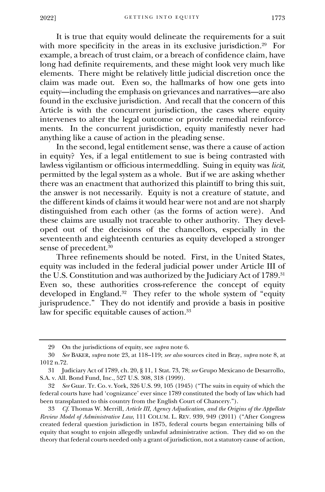It is true that equity would delineate the requirements for a suit with more specificity in the areas in its exclusive jurisdiction.<sup>29</sup> For example, a breach of trust claim, or a breach of confidence claim, have long had definite requirements, and these might look very much like elements. There might be relatively little judicial discretion once the claim was made out. Even so, the hallmarks of how one gets into equity—including the emphasis on grievances and narratives—are also found in the exclusive jurisdiction. And recall that the concern of this Article is with the concurrent jurisdiction, the cases where equity intervenes to alter the legal outcome or provide remedial reinforcements. In the concurrent jurisdiction, equity manifestly never had anything like a cause of action in the pleading sense.

In the second, legal entitlement sense, was there a cause of action in equity? Yes, if a legal entitlement to sue is being contrasted with lawless vigilantism or officious intermeddling. Suing in equity was *licit*, permitted by the legal system as a whole. But if we are asking whether there was an enactment that authorized this plaintiff to bring this suit, the answer is not necessarily. Equity is not a creature of statute, and the different kinds of claims it would hear were not and are not sharply distinguished from each other (as the forms of action were). And these claims are usually not traceable to other authority. They developed out of the decisions of the chancellors, especially in the seventeenth and eighteenth centuries as equity developed a stronger sense of precedent.<sup>30</sup>

Three refinements should be noted. First, in the United States, equity was included in the federal judicial power under Article III of the U.S. Constitution and was authorized by the Judiciary Act of 1789. 31 Even so, these authorities cross-reference the concept of equity developed in England.<sup>32</sup> They refer to the whole system of "equity jurisprudence." They do not identify and provide a basis in positive law for specific equitable causes of action.<sup>33</sup>

<sup>29</sup> On the jurisdictions of equity, see *supra* note 6.

<sup>30</sup> *See* BAKER, *supra* note 23, at 118–119; *see also* sources cited in Bray, *supra* note 8, at 1012 n.72.

<sup>31</sup> Judiciary Act of 1789, ch. 20, § 11, 1 Stat. 73, 78; *see* Grupo Mexicano de Desarrollo, S.A. v. All. Bond Fund, Inc., 527 U.S. 308, 318 (1999).

<sup>32</sup> *See* Guar. Tr. Co. v. York, 326 U.S. 99, 105 (1945) ("The suits in equity of which the federal courts have had 'cognizance' ever since 1789 constituted the body of law which had been transplanted to this country from the English Court of Chancery.").

<sup>33</sup> *Cf.* Thomas W. Merrill, *Article III, Agency Adjudication, and the Origins of the Appellate Review Model of Administrative Law*, 111 COLUM. L. REV. 939, 949 (2011) ("After Congress created federal question jurisdiction in 1875, federal courts began entertaining bills of equity that sought to enjoin allegedly unlawful administrative action. They did so on the theory that federal courts needed only a grant of jurisdiction, not a statutory cause of action,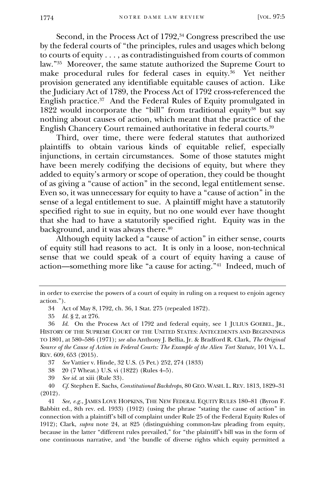Second, in the Process Act of 1792,<sup>34</sup> Congress prescribed the use by the federal courts of "the principles, rules and usages which belong to courts of equity . . . , as contradistinguished from courts of common law."<sup>35</sup> Moreover, the same statute authorized the Supreme Court to make procedural rules for federal cases in equity.<sup>36</sup> Yet neither provision generated any identifiable equitable causes of action. Like the Judiciary Act of 1789, the Process Act of 1792 cross-referenced the English practice.<sup>37</sup> And the Federal Rules of Equity promulgated in  $1822$  would incorporate the "bill" from traditional equity<sup>38</sup> but say nothing about causes of action, which meant that the practice of the English Chancery Court remained authoritative in federal courts.<sup>39</sup>

Third, over time, there were federal statutes that authorized plaintiffs to obtain various kinds of equitable relief, especially injunctions, in certain circumstances. Some of those statutes might have been merely codifying the decisions of equity, but where they added to equity's armory or scope of operation, they could be thought of as giving a "cause of action" in the second, legal entitlement sense. Even so, it was unnecessary for equity to have a "cause of action" in the sense of a legal entitlement to sue. A plaintiff might have a statutorily specified right to sue in equity, but no one would ever have thought that she had to have a statutorily specified right. Equity was in the background, and it was always there.<sup>40</sup>

Although equity lacked a "cause of action" in either sense, courts of equity still had reasons to act. It is only in a loose, non-technical sense that we could speak of a court of equity having a cause of action—something more like "a cause for acting."<sup>41</sup> Indeed, much of

37 *See* Vattier v. Hinde, 32 U.S. (5 Pet.) 252, 274 (1833)

38 20 (7 Wheat.) U.S. vi (1822) (Rules 4–5).<br>39 See id. at xiii (Rule 33).

See id. at xiii (Rule 33).

40 *Cf.* Stephen E. Sachs, *Constitutional Backdrops*, 80 GEO. WASH. L. REV. 1813, 1829–31 (2012).

in order to exercise the powers of a court of equity in ruling on a request to enjoin agency action.").

<sup>34</sup> Act of May 8, 1792, ch. 36, 1 Stat. 275 (repealed 1872).

<sup>35</sup> *Id.* § 2, at 276.

<sup>36</sup> *Id.* On the Process Act of 1792 and federal equity, see 1 JULIUS GOEBEL, JR., HISTORY OF THE SUPREME COURT OF THE UNITED STATES: ANTECEDENTS AND BEGINNINGS TO 1801, at 580–586 (1971); *see also* Anthony J. Bellia, Jr. & Bradford R. Clark, *The Original Source of the Cause of Action in Federal Courts: The Example of the Alien Tort Statute*, 101 VA. L. REV. 609, 653 (2015).

<sup>41</sup> *See, e.g.*, JAMES LOVE HOPKINS, THE NEW FEDERAL EQUITY RULES 180–81 (Byron F. Babbitt ed., 8th rev. ed. 1933) (1912) (using the phrase "stating the cause of action" in connection with a plaintiff's bill of complaint under Rule 25 of the Federal Equity Rules of 1912); Clark, *supra* note 24, at 825 (distinguishing common-law pleading from equity, because in the latter "different rules prevailed," for "the plaintiff's bill was in the form of one continuous narrative, and 'the bundle of diverse rights which equity permitted a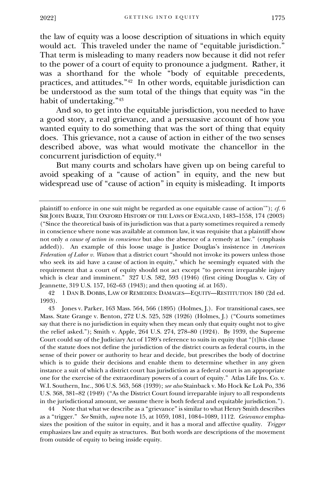the law of equity was a loose description of situations in which equity would act. This traveled under the name of "equitable jurisdiction." That term is misleading to many readers now because it did not refer to the power of a court of equity to pronounce a judgment. Rather, it was a shorthand for the whole "body of equitable precedents, practices, and attitudes."<sup>42</sup> In other words, equitable jurisdiction can be understood as the sum total of the things that equity was "in the habit of undertaking."<sup>43</sup>

And so, to get into the equitable jurisdiction, you needed to have a good story, a real grievance, and a persuasive account of how you wanted equity to do something that was the sort of thing that equity does. This grievance, not a cause of action in either of the two senses described above, was what would motivate the chancellor in the concurrent jurisdiction of equity.<sup>44</sup>

But many courts and scholars have given up on being careful to avoid speaking of a "cause of action" in equity, and the new but widespread use of "cause of action" in equity is misleading. It imports

42 1 DAN B. DOBBS, LAW OF REMEDIES: DAMAGES—EQUITY—RESTITUTION 180 (2d ed. 1993).

43 Jones v. Parker, 163 Mass. 564, 566 (1895) (Holmes, J.). For transitional cases, see Mass. State Grange v. Benton, 272 U.S. 525, 528 (1926) (Holmes, J.) ("Courts sometimes say that there is no jurisdiction in equity when they mean only that equity ought not to give the relief asked."); Smith v. Apple, 264 U.S. 274, 278–80 (1924). By 1939, the Supreme Court could say of the Judiciary Act of 1789's reference to suits in equity that "[t]his clause of the statute does not define the jurisdiction of the district courts as federal courts, in the sense of their power or authority to hear and decide, but prescribes the body of doctrine which is to guide their decisions and enable them to determine whether in any given instance a suit of which a district court has jurisdiction as a federal court is an appropriate one for the exercise of the extraordinary powers of a court of equity." Atlas Life Ins. Co. v. W.I. Southern, Inc., 306 U.S. 563, 568 (1939); *see also* Stainback v. Mo Hock Ke Lok Po, 336 U.S. 368, 381–82 (1949) ("As the District Court found irreparable injury to all respondents in the jurisdictional amount, we assume there is both federal and equitable jurisdiction.").

44 Note that what we describe as a "grievance" is similar to what Henry Smith describes as a "trigger." *See* Smith, *supra* note 15, at 1059, 1081, 1084–1089, 1112. *Grievance* emphasizes the position of the suitor in equity, and it has a moral and affective quality. *Trigger* emphasizes law and equity as structures. But both words are descriptions of the movement from outside of equity to being inside equity.

plaintiff to enforce in one suit might be regarded as one equitable cause of action'"); *cf.* 6 SIR JOHN BAKER, THE OXFORD HISTORY OF THE LAWS OF ENGLAND, 1483–1558, 174 (2003) ("Since the theoretical basis of its jurisdiction was that a party sometimes required a remedy in conscience where none was available at common law, it was requisite that a plaintiff show not only *a cause of action in conscience* but also the absence of a remedy at law." (emphasis added)). An example of this loose usage is Justice Douglas's insistence in *American Federation of Labor v. Watson* that a district court "should not invoke its powers unless those who seek its aid have a cause of action in equity," which he seemingly equated with the requirement that a court of equity should not act except "to prevent irreparable injury which is clear and imminent." 327 U.S. 582, 593 (1946) (first citing Douglas v. City of Jeannette, 319 U.S. 157, 162–63 (1943); and then quoting *id.* at 163).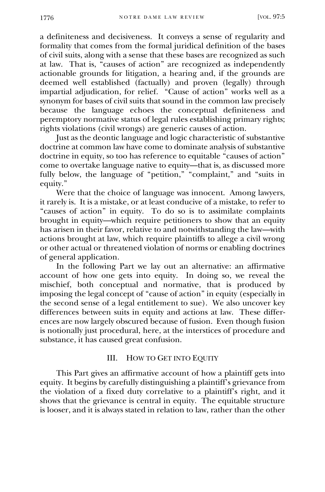a definiteness and decisiveness. It conveys a sense of regularity and formality that comes from the formal juridical definition of the bases of civil suits, along with a sense that these bases are recognized as such at law. That is, "causes of action" are recognized as independently actionable grounds for litigation, a hearing and, if the grounds are deemed well established (factually) and proven (legally) through impartial adjudication, for relief. "Cause of action" works well as a synonym for bases of civil suits that sound in the common law precisely because the language echoes the conceptual definiteness and peremptory normative status of legal rules establishing primary rights; rights violations (civil wrongs) are generic causes of action.

Just as the deontic language and logic characteristic of substantive doctrine at common law have come to dominate analysis of substantive doctrine in equity, so too has reference to equitable "causes of action" come to overtake language native to equity—that is, as discussed more fully below, the language of "petition," "complaint," and "suits in equity."

Were that the choice of language was innocent. Among lawyers, it rarely is. It is a mistake, or at least conducive of a mistake, to refer to "causes of action" in equity. To do so is to assimilate complaints brought in equity—which require petitioners to show that an equity has arisen in their favor, relative to and notwithstanding the law—with actions brought at law, which require plaintiffs to allege a civil wrong or other actual or threatened violation of norms or enabling doctrines of general application.

In the following Part we lay out an alternative: an affirmative account of how one gets into equity. In doing so, we reveal the mischief, both conceptual and normative, that is produced by imposing the legal concept of "cause of action" in equity (especially in the second sense of a legal entitlement to sue). We also uncover key differences between suits in equity and actions at law. These differences are now largely obscured because of fusion. Even though fusion is notionally just procedural, here, at the interstices of procedure and substance, it has caused great confusion.

#### III. HOW TO GET INTO EQUITY

<span id="page-13-0"></span>This Part gives an affirmative account of how a plaintiff gets into equity. It begins by carefully distinguishing a plaintiff's grievance from the violation of a fixed duty correlative to a plaintiff's right, and it shows that the grievance is central in equity. The equitable structure is looser, and it is always stated in relation to law, rather than the other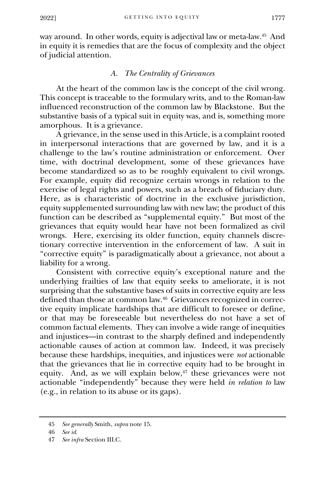way around. In other words, equity is adjectival law or meta-law.<sup>45</sup> And in equity it is remedies that are the focus of complexity and the object of judicial attention.

# *A. The Centrality of Grievances*

<span id="page-14-0"></span>At the heart of the common law is the concept of the civil wrong. This concept is traceable to the formulary writs, and to the Roman-law influenced reconstruction of the common law by Blackstone. But the substantive basis of a typical suit in equity was, and is, something more amorphous. It is a grievance.

A grievance, in the sense used in this Article, is a complaint rooted in interpersonal interactions that are governed by law, and it is a challenge to the law's routine administration or enforcement. Over time, with doctrinal development, some of these grievances have become standardized so as to be roughly equivalent to civil wrongs. For example, equity did recognize certain wrongs in relation to the exercise of legal rights and powers, such as a breach of fiduciary duty. Here, as is characteristic of doctrine in the exclusive jurisdiction, equity supplemented surrounding law with new law; the product of this function can be described as "supplemental equity." But most of the grievances that equity would hear have not been formalized as civil wrongs. Here, exercising its older function, equity channels discretionary corrective intervention in the enforcement of law. A suit in "corrective equity" is paradigmatically about a grievance, not about a liability for a wrong.

Consistent with corrective equity's exceptional nature and the underlying frailties of law that equity seeks to ameliorate, it is not surprising that the substantive bases of suits in corrective equity are less defined than those at common law.<sup>46</sup> Grievances recognized in corrective equity implicate hardships that are difficult to foresee or define, or that may be foreseeable but nevertheless do not have a set of common factual elements. They can involve a wide range of inequities and injustices—in contrast to the sharply defined and independently actionable causes of action at common law. Indeed, it was precisely because these hardships, inequities, and injustices were *not* actionable that the grievances that lie in corrective equity had to be brought in equity. And, as we will explain below,<sup>47</sup> these grievances were not actionable "independently" because they were held *in relation to* law (e.g., in relation to its abuse or its gaps).

<sup>45</sup> *See generally* Smith, *supra* note 15.

<sup>46</sup> *See id.*

<sup>47</sup> *See infra* Section III.C.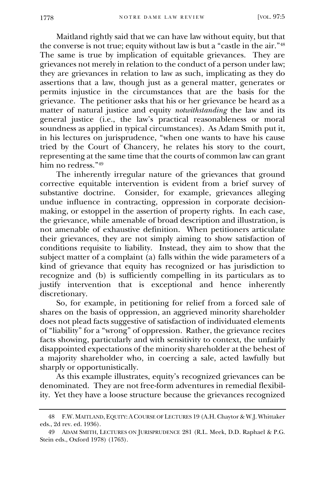Maitland rightly said that we can have law without equity, but that the converse is not true; equity without law is but a "castle in the air."<sup>48</sup> The same is true by implication of equitable grievances. They are grievances not merely in relation to the conduct of a person under law; they are grievances in relation to law as such, implicating as they do assertions that a law, though just as a general matter, generates or permits injustice in the circumstances that are the basis for the grievance. The petitioner asks that his or her grievance be heard as a matter of natural justice and equity *notwithstanding* the law and its general justice (i.e., the law's practical reasonableness or moral soundness as applied in typical circumstances). As Adam Smith put it, in his lectures on jurisprudence, "when one wants to have his cause tried by the Court of Chancery, he relates his story to the court, representing at the same time that the courts of common law can grant him no redress."<sup>49</sup>

The inherently irregular nature of the grievances that ground corrective equitable intervention is evident from a brief survey of substantive doctrine. Consider, for example, grievances alleging undue influence in contracting, oppression in corporate decisionmaking, or estoppel in the assertion of property rights. In each case, the grievance, while amenable of broad description and illustration, is not amenable of exhaustive definition. When petitioners articulate their grievances, they are not simply aiming to show satisfaction of conditions requisite to liability. Instead, they aim to show that the subject matter of a complaint  $(a)$  falls within the wide parameters of a kind of grievance that equity has recognized or has jurisdiction to recognize and (b) is sufficiently compelling in its particulars as to justify intervention that is exceptional and hence inherently discretionary.

So, for example, in petitioning for relief from a forced sale of shares on the basis of oppression, an aggrieved minority shareholder does not plead facts suggestive of satisfaction of individuated elements of "liability" for a "wrong" of oppression. Rather, the grievance recites facts showing, particularly and with sensitivity to context, the unfairly disappointed expectations of the minority shareholder at the behest of a majority shareholder who, in coercing a sale, acted lawfully but sharply or opportunistically.

As this example illustrates, equity's recognized grievances can be denominated. They are not free-form adventures in remedial flexibility. Yet they have a loose structure because the grievances recognized

<sup>48</sup> F.W. MAITLAND, EQUITY:ACOURSE OF LECTURES 19 (A.H. Chaytor & W.J. Whittaker eds., 2d rev. ed. 1936).

<sup>49</sup> ADAM SMITH, LECTURES ON JURISPRUDENCE 281 (R.L. Meek, D.D. Raphael & P.G. Stein eds., Oxford 1978) (1763).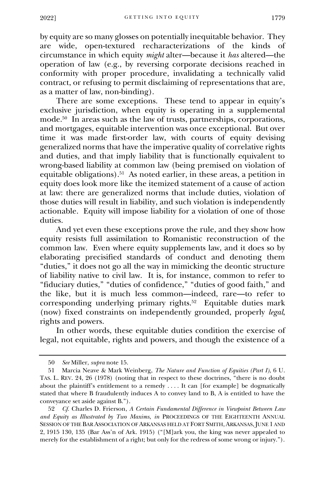by equity are so many glosses on potentially inequitable behavior. They are wide, open-textured recharacterizations of the kinds of circumstance in which equity *might* alter—because it *has* altered—the operation of law (e.g., by reversing corporate decisions reached in conformity with proper procedure, invalidating a technically valid contract, or refusing to permit disclaiming of representations that are, as a matter of law, non-binding).

There are some exceptions. These tend to appear in equity's exclusive jurisdiction, when equity is operating in a supplemental mode.<sup>50</sup> In areas such as the law of trusts, partnerships, corporations, and mortgages, equitable intervention was once exceptional. But over time it was made first-order law, with courts of equity devising generalized norms that have the imperative quality of correlative rights and duties, and that imply liability that is functionally equivalent to wrong-based liability at common law (being premised on violation of equitable obligations).<sup>51</sup> As noted earlier, in these areas, a petition in equity does look more like the itemized statement of a cause of action at law: there are generalized norms that include duties, violation of those duties will result in liability, and such violation is independently actionable. Equity will impose liability for a violation of one of those duties.

And yet even these exceptions prove the rule, and they show how equity resists full assimilation to Romanistic reconstruction of the common law. Even where equity supplements law, and it does so by elaborating precisified standards of conduct and denoting them "duties," it does not go all the way in mimicking the deontic structure of liability native to civil law. It is, for instance, common to refer to "fiduciary duties," "duties of confidence," "duties of good faith," and the like, but it is much less common—indeed, rare—to refer to corresponding underlying primary rights.<sup>52</sup> Equitable duties mark (now) fixed constraints on independently grounded, properly *legal*, rights and powers.

In other words, these equitable duties condition the exercise of legal, not equitable, rights and powers, and though the existence of a

<sup>50</sup> *See* Miller, *supra* note 15.

<sup>51</sup> Marcia Neave & Mark Weinberg, *The Nature and Function of Equities (Part I)*, 6 U. TAS. L. REV. 24, 26 (1978) (noting that in respect to these doctrines, "there is no doubt about the plaintiff's entitlement to a remedy . . . . It can [for example] be dogmatically stated that where B fraudulently induces A to convey land to B, A is entitled to have the conveyance set aside against B.").

<sup>52</sup> *Cf.* Charles D. Frierson, *A Certain Fundamental Difference in Viewpoint Between Law and Equity as Illustrated by Two Maxims*, *in* PROCEEDINGS OF THE EIGHTEENTH ANNUAL SESSION OF THE BAR ASSOCIATION OF ARKANSAS HELD AT FORT SMITH, ARKANSAS, JUNE 1 AND 2, 1915 130, 135 (Bar Ass'n of Ark. 1915) ("[M]ark you, the king was never appealed to merely for the establishment of a right; but only for the redress of some wrong or injury.").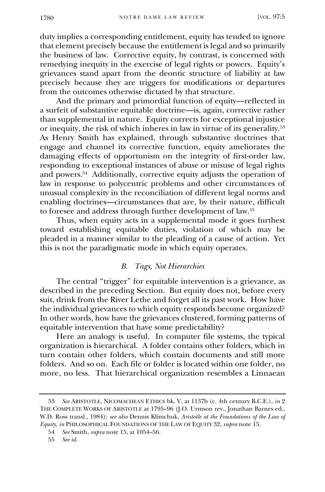duty implies a corresponding entitlement, equity has tended to ignore that element precisely because the entitlement is legal and so primarily the business of law. Corrective equity, by contrast, is concerned with remedying inequity in the exercise of legal rights or powers. Equity's grievances stand apart from the deontic structure of liability at law precisely because they are triggers for modifications or departures from the outcomes otherwise dictated by that structure.

And the primary and primordial function of equity—reflected in a surfeit of substantive equitable doctrine—is, again, corrective rather than supplemental in nature. Equity corrects for exceptional injustice or inequity, the risk of which inheres in law in virtue of its generality.<sup>53</sup> As Henry Smith has explained, through substantive doctrines that engage and channel its corrective function, equity ameliorates the damaging effects of opportunism on the integrity of first-order law, responding to exceptional instances of abuse or misuse of legal rights and powers.<sup>54</sup> Additionally, corrective equity adjusts the operation of law in response to polycentric problems and other circumstances of unusual complexity in the reconciliation of different legal norms and enabling doctrines—circumstances that are, by their nature, difficult to foresee and address through further development of law.<sup>55</sup>

Thus, when equity acts in a supplemental mode it goes furthest toward establishing equitable duties, violation of which may be pleaded in a manner similar to the pleading of a cause of action. Yet this is not the paradigmatic mode in which equity operates.

# *B. Tags, Not Hierarchies*

<span id="page-17-0"></span>The central "trigger" for equitable intervention is a grievance, as described in the preceding Section. But equity does not, before every suit, drink from the River Lethe and forget all its past work. How have the individual grievances to which equity responds become organized? In other words, how have the grievances clustered, forming patterns of equitable intervention that have some predictability?

Here an analogy is useful. In computer file systems, the typical organization is hierarchical. A folder contains other folders, which in turn contain other folders, which contain documents and still more folders. And so on. Each file or folder is located within one folder, no more, no less. That hierarchical organization resembles a Linnaean

<sup>53</sup> *See* ARISTOTLE, NICOMACHEAN ETHICS bk. V, at 1137b (c. 4th century B.C.E.), *in* 2 THE COMPLETE WORKS OF ARISTOTLE at 1795–96 (J.O. Urmson rev., Jonathan Barnes ed., W.D. Ross transl., 1984); *see also* Dennis Klimchuk, *Aristotle at the Foundations of the Law of Equity*, *in* PHILOSOPHICAL FOUNDATIONS OF THE LAW OF EQUITY 32, *supra* note 15.

<sup>54</sup> *See* Smith, *supra* note 15, at 1054–56.

<sup>55</sup> *See id.*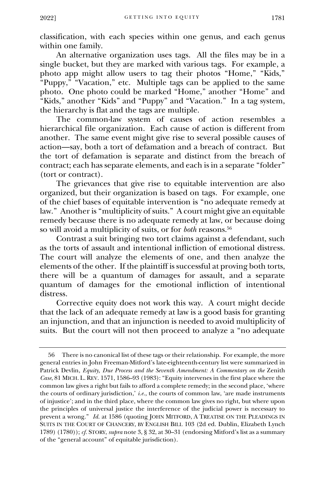classification, with each species within one genus, and each genus within one family.

An alternative organization uses tags. All the files may be in a single bucket, but they are marked with various tags. For example, a photo app might allow users to tag their photos "Home," "Kids," "Puppy," "Vacation," etc. Multiple tags can be applied to the same photo. One photo could be marked "Home," another "Home" and "Kids," another "Kids" and "Puppy" and "Vacation." In a tag system, the hierarchy is flat and the tags are multiple.

The common-law system of causes of action resembles a hierarchical file organization. Each cause of action is different from another. The same event might give rise to several possible causes of action—say, both a tort of defamation and a breach of contract. But the tort of defamation is separate and distinct from the breach of contract; each has separate elements, and each is in a separate "folder" (tort or contract).

The grievances that give rise to equitable intervention are also organized, but their organization is based on tags. For example, one of the chief bases of equitable intervention is "no adequate remedy at law." Another is "multiplicity of suits." A court might give an equitable remedy because there is no adequate remedy at law, or because doing so will avoid a multiplicity of suits, or for *both* reasons.<sup>56</sup>

Contrast a suit bringing two tort claims against a defendant, such as the torts of assault and intentional infliction of emotional distress. The court will analyze the elements of one, and then analyze the elements of the other. If the plaintiff is successful at proving both torts, there will be a quantum of damages for assault, and a separate quantum of damages for the emotional infliction of intentional distress.

Corrective equity does not work this way. A court might decide that the lack of an adequate remedy at law is a good basis for granting an injunction, and that an injunction is needed to avoid multiplicity of suits. But the court will not then proceed to analyze a "no adequate

<sup>56</sup> There is no canonical list of these tags or their relationship. For example, the more general entries in John Freeman-Mitford's late-eighteenth-century list were summarized in Patrick Devlin, *Equity, Due Process and the Seventh Amendment: A Commentary on the Zenith Case*, 81 MICH. L. REV. 1571, 1586–93 (1983): "Equity intervenes in the first place where the common law gives a right but fails to afford a complete remedy; in the second place, 'where the courts of ordinary jurisdiction,' *i.e.*, the courts of common law, 'are made instruments of injustice'; and in the third place, where the common law gives no right, but where upon the principles of universal justice the interference of the judicial power is necessary to prevent a wrong." *Id.* at 1586 (quoting JOHN MITFORD, A TREATISE ON THE PLEADINGS IN SUITS IN THE COURT OF CHANCERY, BY ENGLISH BILL 103 (2d ed. Dublin, Elizabeth Lynch 1789) (1780)); *cf.* STORY, *supra* note 3, § 32, at 30–31 (endorsing Mitford's list as a summary of the "general account" of equitable jurisdiction).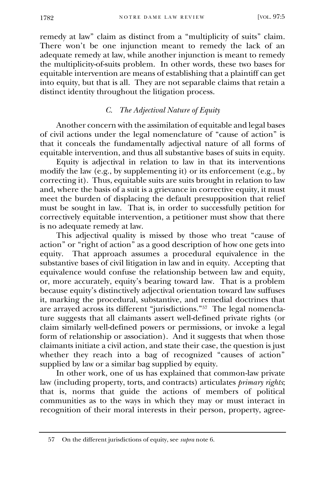remedy at law" claim as distinct from a "multiplicity of suits" claim. There won't be one injunction meant to remedy the lack of an adequate remedy at law, while another injunction is meant to remedy the multiplicity-of-suits problem. In other words, these two bases for equitable intervention are means of establishing that a plaintiff can get into equity, but that is all. They are not separable claims that retain a distinct identity throughout the litigation process.

# *C. The Adjectival Nature of Equity*

Another concern with the assimilation of equitable and legal bases of civil actions under the legal nomenclature of "cause of action" is that it conceals the fundamentally adjectival nature of all forms of equitable intervention, and thus all substantive bases of suits in equity.

<span id="page-19-0"></span>Equity is adjectival in relation to law in that its interventions modify the law (e.g., by supplementing it) or its enforcement (e.g., by correcting it). Thus, equitable suits are suits brought in relation to law and, where the basis of a suit is a grievance in corrective equity, it must meet the burden of displacing the default presupposition that relief must be sought in law. That is, in order to successfully petition for correctively equitable intervention, a petitioner must show that there is no adequate remedy at law.

This adjectival quality is missed by those who treat "cause of action" or "right of action" as a good description of how one gets into equity. That approach assumes a procedural equivalence in the substantive bases of civil litigation in law and in equity. Accepting that equivalence would confuse the relationship between law and equity, or, more accurately, equity's bearing toward law. That is a problem because equity's distinctively adjectival orientation toward law suffuses it, marking the procedural, substantive, and remedial doctrines that are arrayed across its different "jurisdictions."<sup>57</sup> The legal nomenclature suggests that all claimants assert well-defined private rights (or claim similarly well-defined powers or permissions, or invoke a legal form of relationship or association). And it suggests that when those claimants initiate a civil action, and state their case, the question is just whether they reach into a bag of recognized "causes of action" supplied by law or a similar bag supplied by equity.

In other work, one of us has explained that common-law private law (including property, torts, and contracts) articulates *primary rights*; that is, norms that guide the actions of members of political communities as to the ways in which they may or must interact in recognition of their moral interests in their person, property, agree-

<sup>57</sup> On the different jurisdictions of equity, see *supra* note 6.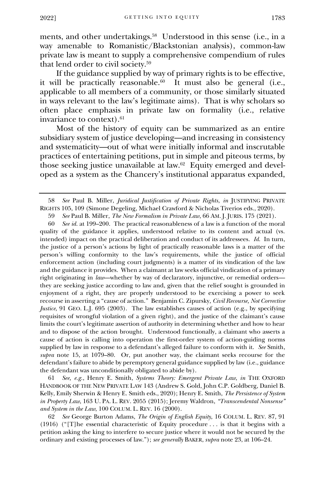ments, and other undertakings.<sup>58</sup> Understood in this sense (i.e., in a way amenable to Romanistic/Blackstonian analysis), common-law private law is meant to supply a comprehensive compendium of rules that lend order to civil society.<sup>59</sup>

If the guidance supplied by way of primary rights is to be effective, it will be practically reasonable. $60$  It must also be general (i.e., applicable to all members of a community, or those similarly situated in ways relevant to the law's legitimate aims). That is why scholars so often place emphasis in private law on formality (i.e., relative invariance to context).<sup>61</sup>

Most of the history of equity can be summarized as an entire subsidiary system of justice developing—and increasing in consistency and systematicity—out of what were initially informal and inscrutable practices of entertaining petitions, put in simple and piteous terms, by those seeking justice unavailable at law.<sup>62</sup> Equity emerged and developed as a system as the Chancery's institutional apparatus expanded,

60 *See id.* at 199–200. The practical reasonableness of a law is a function of the moral quality of the guidance it applies, understood relative to its content and actual (vs. intended) impact on the practical deliberation and conduct of its addressees. *Id.* In turn, the justice of a person's actions by light of practically reasonable laws is a matter of the person's willing conformity to the law's requirements, while the justice of official enforcement action (including court judgments) is a matter of its vindication of the law and the guidance it provides. When a claimant at law seeks official vindication of a primary right originating in *law*—whether by way of declaratory, injunctive, or remedial orders they are seeking justice according to law and, given that the relief sought is grounded in enjoyment of a right, they are properly understood to be exercising a power to seek recourse in asserting a "cause of action." Benjamin C. Zipursky, *Civil Recourse, Not Corrective Justice*, 91 GEO. L.J. 695 (2003). The law establishes causes of action (e.g., by specifying requisites of wrongful violation of a given right), and the justice of the claimant's cause limits the court's legitimate assertion of authority in determining whether and how to hear and to dispose of the action brought. Understood functionally, a claimant who asserts a cause of action is calling into operation the first-order system of action-guiding norms supplied by law in response to a defendant's alleged failure to conform with it. *See* Smith, *supra* note 15, at 1079–80. Or, put another way, the claimant seeks recourse for the defendant's failure to abide by peremptory general guidance supplied by law (i.e., guidance the defendant was unconditionally obligated to abide by).

61 *See, e.g.*, Henry E. Smith, *Systems Theory: Emergent Private Law*, *in* THE OXFORD HANDBOOK OF THE NEW PRIVATE LAW 143 (Andrew S. Gold, John C.P. Goldberg, Daniel B. Kelly, Emily Sherwin & Henry E. Smith eds., 2020); Henry E. Smith, *The Persistence of System in Property Law*, 163 U. PA. L. REV. 2055 (2015); Jeremy Waldron, *"Transcendental Nonsense" and System in the Law*, 100 COLUM. L. REV. 16 (2000).

62 *See* George Burton Adams, *The Origin of English Equity*, 16 COLUM. L. REV. 87, 91 (1916) ("[T]he essential characteristic of Equity procedure . . . is that it begins with a petition asking the king to interfere to secure justice where it would not be secured by the ordinary and existing processes of law."); *see generally* BAKER, *supra* note 23, at 106–24.

<sup>58</sup> *See* Paul B. Miller, *Juridical Justification of Private Rights*, *in* JUSTIFYING PRIVATE RIGHTS 105, 109 (Simone Degeling, Michael Crawford & Nicholas Tiverios eds., 2020).

<sup>59</sup> *See* Paul B. Miller, *The New Formalism in Private Law*, 66 AM. J. JURIS. 175 (2021).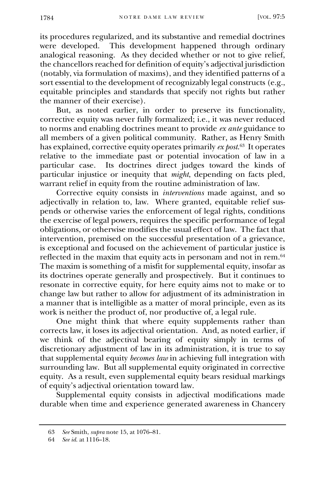its procedures regularized, and its substantive and remedial doctrines were developed. This development happened through ordinary analogical reasoning. As they decided whether or not to give relief, the chancellors reached for definition of equity's adjectival jurisdiction (notably, via formulation of maxims), and they identified patterns of a sort essential to the development of recognizably legal constructs (e.g., equitable principles and standards that specify not rights but rather the manner of their exercise).

But, as noted earlier, in order to preserve its functionality, corrective equity was never fully formalized; i.e., it was never reduced to norms and enabling doctrines meant to provide *ex ante* guidance to all members of a given political community. Rather, as Henry Smith has explained, corrective equity operates primarily *ex post*. 63 It operates relative to the immediate past or potential invocation of law in a particular case. Its doctrines direct judges toward the kinds of particular injustice or inequity that *might*, depending on facts pled, warrant relief in equity from the routine administration of law.

Corrective equity consists in *interventions* made against, and so adjectivally in relation to, law. Where granted, equitable relief suspends or otherwise varies the enforcement of legal rights, conditions the exercise of legal powers, requires the specific performance of legal obligations, or otherwise modifies the usual effect of law. The fact that intervention, premised on the successful presentation of a grievance, is exceptional and focused on the achievement of particular justice is reflected in the maxim that equity acts in personam and not in rem.<sup>64</sup> The maxim is something of a misfit for supplemental equity, insofar as its doctrines operate generally and prospectively. But it continues to resonate in corrective equity, for here equity aims not to make or to change law but rather to allow for adjustment of its administration in a manner that is intelligible as a matter of moral principle, even as its work is neither the product of, nor productive of, a legal rule.

One might think that where equity supplements rather than corrects law, it loses its adjectival orientation. And, as noted earlier, if we think of the adjectival bearing of equity simply in terms of discretionary adjustment of law in its administration, it is true to say that supplemental equity *becomes law* in achieving full integration with surrounding law. But all supplemental equity originated in corrective equity. As a result, even supplemental equity bears residual markings of equity's adjectival orientation toward law.

Supplemental equity consists in adjectival modifications made durable when time and experience generated awareness in Chancery

<sup>63</sup> *See* Smith, *supra* note 15, at 1076–81.

<sup>64</sup> *See id.* at 1116–18.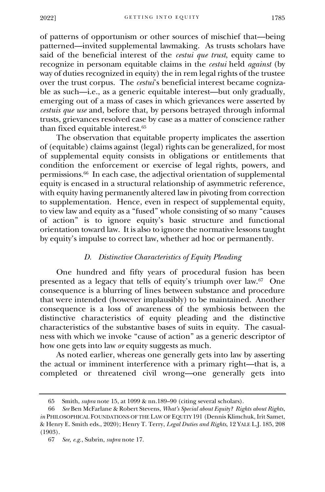of patterns of opportunism or other sources of mischief that—being patterned—invited supplemental lawmaking. As trusts scholars have said of the beneficial interest of the *cestui que trust*, equity came to recognize in personam equitable claims in the *cestui* held *against* (by way of duties recognized in equity) the in rem legal rights of the trustee over the trust corpus. The *cestui*'s beneficial interest became cognizable as such—i.e., as a generic equitable interest—but only gradually, emerging out of a mass of cases in which grievances were asserted by *cestuis que use* and, before that, by persons betrayed through informal trusts, grievances resolved case by case as a matter of conscience rather than fixed equitable interest.<sup>65</sup>

The observation that equitable property implicates the assertion of (equitable) claims against (legal) rights can be generalized, for most of supplemental equity consists in obligations or entitlements that condition the enforcement or exercise of legal rights, powers, and permissions.<sup>66</sup> In each case, the adjectival orientation of supplemental equity is encased in a structural relationship of asymmetric reference, with equity having permanently altered law in pivoting from correction to supplementation. Hence, even in respect of supplemental equity, to view law and equity as a "fused" whole consisting of so many "causes of action" is to ignore equity's basic structure and functional orientation toward law. It is also to ignore the normative lessons taught by equity's impulse to correct law, whether ad hoc or permanently.

# *D. Distinctive Characteristics of Equity Pleading*

<span id="page-22-0"></span>One hundred and fifty years of procedural fusion has been presented as a legacy that tells of equity's triumph over law.<sup>67</sup> One consequence is a blurring of lines between substance and procedure that were intended (however implausibly) to be maintained. Another consequence is a loss of awareness of the symbiosis between the distinctive characteristics of equity pleading and the distinctive characteristics of the substantive bases of suits in equity. The casualness with which we invoke "cause of action" as a generic descriptor of how one gets into law *or* equity suggests as much.

As noted earlier, whereas one generally gets into law by asserting the actual or imminent interference with a primary right—that is, a completed or threatened civil wrong—one generally gets into

<sup>65</sup> Smith, *supra* note 15, at 1099 & nn.189–90 (citing several scholars).

<sup>66</sup> *See* Ben McFarlane & Robert Stevens, *What's Special about Equity? Rights about Rights*, *in* PHILOSOPHICAL FOUNDATIONS OF THE LAW OF EQUITY 191 (Dennis Klimchuk, Irit Samet, & Henry E. Smith eds., 2020); Henry T. Terry, *Legal Duties and Rights*, 12 YALE L.J. 185, 208 (1903).

<sup>67</sup> *See, e.g.*, Subrin, *supra* note 17.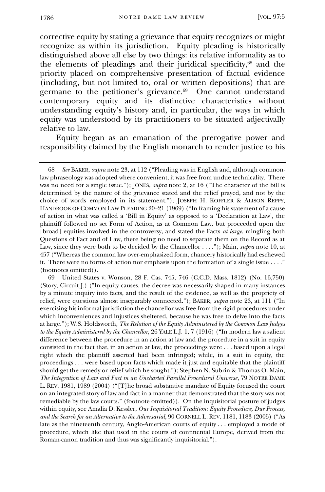corrective equity by stating a grievance that equity recognizes or might recognize as within its jurisdiction. Equity pleading is historically distinguished above all else by two things: its relative informality as to the elements of pleadings and their juridical specificity,<sup>68</sup> and the priority placed on comprehensive presentation of factual evidence (including, but not limited to, oral or written depositions) that are germane to the petitioner's grievance.<sup>69</sup> One cannot understand contemporary equity and its distinctive characteristics without understanding equity's history and, in particular, the ways in which equity was understood by its practitioners to be situated adjectivally relative to law.

Equity began as an emanation of the prerogative power and responsibility claimed by the English monarch to render justice to his

69 United States v. Wonson, 28 F. Cas. 745, 746 (C.C.D. Mass. 1812) (No. 16,750) (Story, Circuit J.) ("In equity causes, the decree was necessarily shaped in many instances by a minute inquiry into facts, and the result of the evidence, as well as the propriety of relief, were questions almost inseparably connected."); BAKER, *supra* note 23, at 111 ("In exercising his informal jurisdiction the chancellor was free from the rigid procedures under which inconveniences and injustices sheltered, because he was free to delve into the facts at large."); W.S. Holdsworth, *The Relation of the Equity Administered by the Common Law Judges to the Equity Administered by the Chancellor*, 26 YALE L.J. 1, 7 (1916) ("In modern law a salient difference between the procedure in an action at law and the procedure in a suit in equity consisted in the fact that, in an action at law, the proceedings were . . . based upon a legal right which the plaintiff asserted had been infringed; while, in a suit in equity, the proceedings . . . were based upon facts which made it just and equitable that the plaintiff should get the remedy or relief which he sought."); Stephen N. Subrin & Thomas O. Main, *The Integration of Law and Fact in an Uncharted Parallel Procedural Universe*, 79 NOTRE DAME L. REV. 1981, 1989 (2004) ("[T]he broad substantive mandate of Equity focused the court on an integrated story of law and fact in a manner that demonstrated that the story was not remediable by the law courts." (footnote omitted)). On the inquisitorial posture of judges within equity, see Amalia D. Kessler, *Our Inquisitorial Tradition: Equity Procedure, Due Process, and the Search for an Alternative to the Adversarial*, 90 CORNELL L. REV. 1181, 1183 (2005) ("As late as the nineteenth century, Anglo-American courts of equity . . . employed a mode of procedure, which like that used in the courts of continental Europe, derived from the Roman-canon tradition and thus was significantly inquisitorial.").

<sup>68</sup> *See* BAKER, *supra* note 23, at 112 ("Pleading was in English and, although commonlaw phraseology was adopted where convenient, it was free from undue technicality. There was no need for a single issue."); JONES, *supra* note 2, at 16 ("The character of the bill is determined by the nature of the grievance stated and the relief prayed, and not by the choice of words employed in its statement."); JOSEPH H. KOFFLER & ALISON REPPY, HANDBOOK OF COMMON LAW PLEADING 20–21 (1969) ("In framing his statement of a cause of action in what was called a 'Bill in Equity' as opposed to a 'Declaration at Law', the plaintiff followed no set Form of Action, as at Common Law, but proceeded upon the [broad] equities involved in the controversy, and stated the Facts *at large*, mingling both Questions of Fact and of Law, there being no need to separate them on the Record as at Law, since they were both to be decided by the Chancellor . . . ."); Main, *supra* note 10, at 457 ("Whereas the common law over-emphasized form, chancery historically had eschewed it. There were no forms of action nor emphasis upon the formation of a single issue . . . ." (footnotes omitted)).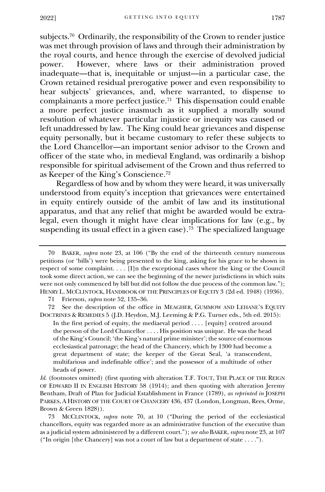subjects.<sup>70</sup> Ordinarily, the responsibility of the Crown to render justice was met through provision of laws and through their administration by the royal courts, and hence through the exercise of devolved judicial<br>power. However, where laws or their administration proved However, where laws or their administration proved inadequate—that is, inequitable or unjust—in a particular case, the Crown retained residual prerogative power and even responsibility to hear subjects' grievances, and, where warranted, to dispense to complainants a more perfect justice. 71 This dispensation could enable a more perfect justice inasmuch as it supplied a morally sound resolution of whatever particular injustice or inequity was caused or left unaddressed by law. The King could hear grievances and dispense equity personally, but it became customary to refer these subjects to the Lord Chancellor—an important senior advisor to the Crown and officer of the state who, in medieval England, was ordinarily a bishop responsible for spiritual advisement of the Crown and thus referred to as Keeper of the King's Conscience.<sup>72</sup>

Regardless of how and by whom they were heard, it was universally understood from equity's inception that grievances were entertained in equity entirely outside of the ambit of law and its institutional apparatus, and that any relief that might be awarded would be extralegal, even though it might have clear implications for law (e.g., by suspending its usual effect in a given case).<sup>73</sup> The specialized language

71 Frierson, *supra* note 52, 135–36.

72 See the description of the office in MEAGHER, GUMMOW AND LEHANE'S EQUITY DOCTRINES & REMEDIES 5 (J.D. Heydon, M.J. Leeming & P.G. Turner eds., 5th ed. 2015):

In the first period of equity, the mediaeval period . . . . [equity] centred around the person of the Lord Chancellor . . . . His position was unique. He was the head of the King's Council; 'the King's natural prime minister'; the source of enormous ecclesiastical patronage; the head of the Chancery, which by 1300 had become a great department of state; the keeper of the Great Seal, 'a transcendent, multifarious and indefinable office'; and the possessor of a multitude of other heads of power.

*Id.* (footnotes omitted) (first quoting with alteration T.F. TOUT, THE PLACE OF THE REIGN OF EDWARD II IN ENGLISH HISTORY 58 (1914); and then quoting with alteration Jeremy Bentham, Draft of Plan for Judicial Establishment in France (1789), *as reprinted in* JOSEPH PARKES, A HISTORY OF THE COURT OF CHANCERY 436, 437 (London, Longman, Rees, Orme, Brown & Green 1828)).

73 MCCLINTOCK, *supra* note 70, at 10 ("During the period of the ecclesiastical chancellors, equity was regarded more as an administrative function of the executive than as a judicial system administered by a different court."); *see also* BAKER, *supra* note 23, at 107 ("In origin [the Chancery] was not a court of law but a department of state . . . .").

<sup>70</sup> BAKER, *supra* note 23, at 106 ("By the end of the thirteenth century numerous petitions (or 'bills') were being presented to the king, asking for his grace to be shown in respect of some complaint. . . . [I]n the exceptional cases where the king or the Council took some direct action, we can see the beginning of the newer jurisdictions in which suits were not only commenced by bill but did not follow the due process of the common law."); HENRY L. MCCLINTOCK, HANDBOOK OF THE PRINCIPLES OF EQUITY 3 (2d ed. 1948) (1936).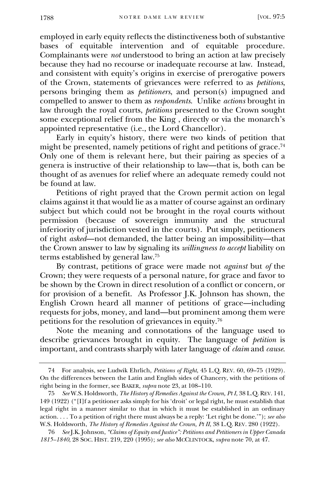employed in early equity reflects the distinctiveness both of substantive bases of equitable intervention and of equitable procedure. Complainants were *not* understood to bring an action at law precisely because they had no recourse or inadequate recourse at law. Instead, and consistent with equity's origins in exercise of prerogative powers of the Crown, statements of grievances were referred to as *petitions*, persons bringing them as *petitioners*, and person(s) impugned and compelled to answer to them as *respondents*. Unlike *actions* brought in law through the royal courts, *petitions* presented to the Crown sought some exceptional relief from the King , directly or via the monarch's appointed representative (i.e., the Lord Chancellor).

Early in equity's history, there were two kinds of petition that might be presented, namely petitions of right and petitions of grace. 74 Only one of them is relevant here, but their pairing as species of a genera is instructive of their relationship to law—that is, both can be thought of as avenues for relief where an adequate remedy could not be found at law.

Petitions of right prayed that the Crown permit action on legal claims against it that would lie as a matter of course against an ordinary subject but which could not be brought in the royal courts without permission (because of sovereign immunity and the structural inferiority of jurisdiction vested in the courts). Put simply, petitioners of right *asked*—not demanded, the latter being an impossibility—that the Crown answer to law by signaling its *willingness to accept* liability on terms established by general law.<sup>75</sup>

By contrast, petitions of grace were made not *against* but *of* the Crown; they were requests of a personal nature, for grace and favor to be shown by the Crown in direct resolution of a conflict or concern, or for provision of a benefit. As Professor J.K. Johnson has shown, the English Crown heard all manner of petitions of grace—including requests for jobs, money, and land—but prominent among them were petitions for the resolution of grievances in equity.<sup>76</sup>

Note the meaning and connotations of the language used to describe grievances brought in equity. The language of *petition* is important, and contrasts sharply with later language of *claim* and *cause*.

<sup>74</sup> For analysis, see Ludwik Ehrlich, *Petitions of Right*, 45 L.Q. REV. 60, 69–75 (1929). On the differences between the Latin and English sides of Chancery, with the petitions of right being in the former, see BAKER, *supra* note 23, at 108–110.

<sup>75</sup> *See* W.S. Holdsworth, *The History of Remedies Against the Crown, Pt I*, 38 L.Q. REV. 141, 149 (1922) ("[I]f a petitioner asks simply for his 'droit' or legal right, he must establish that legal right in a manner similar to that in which it must be established in an ordinary action. . . . To a petition of right there must always be a reply: 'Let right be done.'"); *see also* W.S. Holdsworth, *The History of Remedies Against the Crown*, Pt II, 38 L.Q. REV. 280 (1922).

<sup>76</sup> *See* J.K. Johnson, *"Claims of Equity and Justice": Petitions and Petitioners in Upper Canada 1815–1840*, 28 SOC. HIST. 219, 220 (1995); *see also* MCCLINTOCK, *supra* note 70, at 47.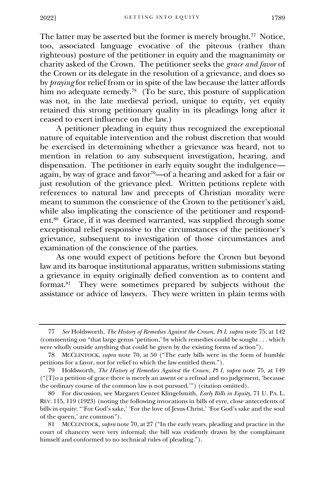The latter may be asserted but the former is merely brought.<sup>77</sup> Notice, too, associated language evocative of the piteous (rather than righteous) posture of the petitioner in equity and the magnanimity or charity asked of the Crown. The petitioner seeks the *grace and favor* of the Crown or its delegate in the resolution of a grievance, and does so by *praying* for relief from or in spite of the law because the latter affords him no adequate remedy.<sup>78</sup> (To be sure, this posture of supplication was not, in the late medieval period, unique to equity, yet equity retained this strong petitionary quality in its pleadings long after it ceased to exert influence on the law.)

A petitioner pleading in equity thus recognized the exceptional nature of equitable intervention and the robust discretion that would be exercised in determining whether a grievance was heard, not to mention in relation to any subsequent investigation, hearing, and dispensation. The petitioner in early equity sought the indulgence again, by way of grace and favor79—of a hearing and asked for a fair or just resolution of the grievance pled. Written petitions replete with references to natural law and precepts of Christian morality were meant to summon the conscience of the Crown to the petitioner's aid, while also implicating the conscience of the petitioner and respondent.<sup>80</sup> Grace, if it was deemed warranted, was supplied through some exceptional relief responsive to the circumstances of the petitioner's grievance, subsequent to investigation of those circumstances and examination of the conscience of the parties.

As one would expect of petitions before the Crown but beyond law and its baroque institutional apparatus, written submissions stating a grievance in equity originally defied convention as to content and format.<sup>81</sup> They were sometimes prepared by subjects without the assistance or advice of lawyers. They were written in plain terms with

<sup>77</sup> *See* Holdsworth, *The History of Remedies Against the Crown, Pt I*, *supra* note 75, at 142 (commenting on "that large genus 'petition,' by which remedies could be sought . . . which were wholly outside anything that could be given by the existing forms of action").

<sup>78</sup> MCCLINTOCK, *supra* note 70, at 50 ("The early bills were in the form of humble petitions for a favor, not for relief to which the law entitled them.").

<sup>79</sup> Holdsworth, *The History of Remedies Against the Crown, Pt I*, *supra* note 75, at 149 ("[T]o a petition of grace there is merely an assent or a refusal and no judgement, 'because the ordinary course of the common law is not pursued.'") (citation omitted).

<sup>80</sup> For discussion, see Margaret Center Klingelsmith, *Early Bills in Equity*, 71 U. PA. L. REV. 115, 119 (1923) (noting the following invocations in bills of eyre, close antecedents of bills in equity: "'For God's sake,' 'For the love of Jesus Christ,' 'For God's sake and the soul of the queen,' are common").

MCCLINTOCK, *supra* note 70, at 27 ("In the early years, pleading and practice in the court of chancery were very informal; the bill was evidently drawn by the complainant himself and conformed to no technical rules of pleading.").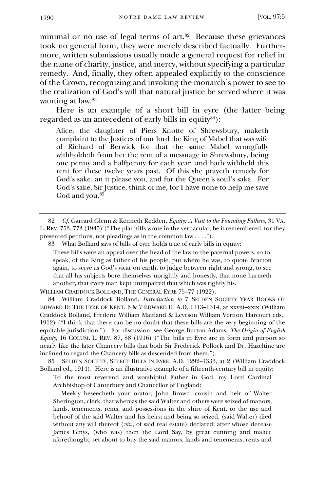minimal or no use of legal terms of art.<sup>82</sup> Because these grievances took no general form, they were merely described factually. Furthermore, written submissions usually made a general request for relief in the name of charity, justice, and mercy, without specifying a particular remedy. And, finally, they often appealed explicitly to the conscience of the Crown, recognizing and invoking the monarch's power to see to the realization of God's will that natural justice be served where it was wanting at law.<sup>83</sup>

Here is an example of a short bill in eyre (the latter being regarded as an antecedent of early bills in equity<sup>84</sup>):

Alice, the daughter of Piers Knotte of Shrewsbury, maketh complaint to the Justices of our lord the King of Mabel that was wife of Richard of Berwick for that the same Mabel wrongfully withholdeth from her the rent of a messuage in Shrewsbury, being one penny and a halfpenny for each year, and hath withheld this rent for these twelve years past. Of this she prayeth remedy for God's sake, an it please you, and for the Queen's soul's sake. For God's sake, Sir Justice, think of me, for I have none to help me save God and you.<sup>85</sup>

82 *Cf.* Garrard Glenn & Kenneth Redden, *Equity: A Visit to the Founding Fathers,* 31 VA. L. REV. 753, 773 (1945) ("The plaintiffs wrote in the vernacular, be it remembered, for they presented petitions, not pleadings as in the common law . . . .").

83 What Bolland says of bills of eyre holds true of early bills in equity:

These bills were an appeal over the head of the law to the paternal powers, so to, speak, of the King as father of his people, put where he was, to quote Bracton again, to serve as God's vicar on earth, to judge between right and wrong, to see that all his subjects bore themselves uprightly and honestly, that none harmeth another, that every man kept unimpaired that which was rightly his.

WILLIAM CRADDOCK BOLLAND, THE GENERAL EYRE 75–77 (1922).

84 William Craddock Bolland, *Introduction to* 7 SELDEN SOCIETY YEAR BOOKS OF EDWARD II: THE EYRE OF KENT, 6 & 7 EDWARD II, A.D. 1313–1314, at xxviii–xxix (William Craddock Bolland, Frederic William Maitland & Leveson William Vernon Harcourt eds., 1912) ("I think that there can be no doubt that these bills are the very beginning of the equitable jurisdiction."). For discussion, see George Burton Adams, *The Origin of English Equity*, 16 COLUM. L. REV. 87, 88 (1916) ("The bills in Eyre are in form and purport so nearly like the later Chancery bills that both Sir Frederick Pollock and Dr. Hazeltine are inclined to regard the Chancery bills as descended from them.").

85 SELDEN SOCIETY, SELECT BILLS IN EYRE, A.D. 1292–1333, at 2 (William Craddock Bolland ed., 1914). Here is an illustrative example of a fifteenth-century bill in equity:

To the most reverend and worshipful Father in God, my Lord Cardinal Archbishop of Canterbury and Chancellor of England:

 Meekly beseecheth your orator, John Brown, cousin and heir of Walter Sherington, clerk, that whereas the said Walter and others were seized of manors, lands, tenements, rents, and possessions in the shire of Kent, to the use and behoof of the said Walter and his heirs; and being so seized, (said Walter) died without any will thereof (*viz.*, of said real estate) declared; after whose decease James Fenys, (who was) then the Lord Say, by great cunning and malice aforethought, set about to buy the said manors, lands and tenements, rents and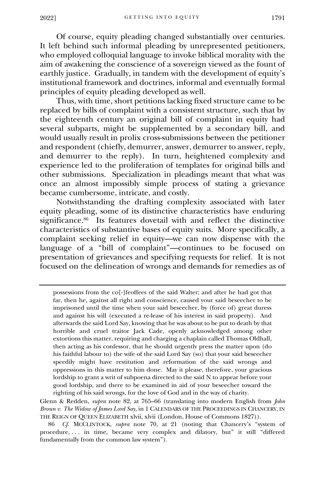Of course, equity pleading changed substantially over centuries. It left behind such informal pleading by unrepresented petitioners, who employed colloquial language to invoke biblical morality with the aim of awakening the conscience of a sovereign viewed as the fount of earthly justice. Gradually, in tandem with the development of equity's institutional framework and doctrines, informal and eventually formal principles of equity pleading developed as well.

Thus, with time, short petitions lacking fixed structure came to be replaced by bills of complaint with a consistent structure, such that by the eighteenth century an original bill of complaint in equity had several subparts, might be supplemented by a secondary bill, and would usually result in prolix cross-submissions between the petitioner and respondent (chiefly, demurrer, answer, demurrer to answer, reply, and demurrer to the reply). In turn, heightened complexity and experience led to the proliferation of templates for original bills and other submissions. Specialization in pleadings meant that what was once an almost impossibly simple process of stating a grievance became cumbersome, intricate, and costly.

Notwithstanding the drafting complexity associated with later equity pleading, some of its distinctive characteristics have enduring significance. 86 Its features dovetail with and reflect the distinctive characteristics of substantive bases of equity suits. More specifically, a complaint seeking relief in equity—we can now dispense with the language of a "bill of complaint"—continues to be focused on presentation of grievances and specifying requests for relief. It is not focused on the delineation of wrongs and demands for remedies as of

possessions from the co[-]feoffees of the said Walter; and after he had got that far, then he, against all right and conscience, caused your said beseecher to be imprisoned until the time when your said beseecher, by (force of) great duress and against his will (executed a re-lease of his interest in said property). And afterwards the said Lord Say, knowing that he was about to be put to death by that horrible and cruel traitor Jack Cade, openly acknowledged among other extortions this matter, requiring and charging a chaplain called Thomas Oldhall, then acting as his confessor, that he should urgently press the matter upon (do his faithful labour to) the wife of the said Lord Say (so) that your said beseecher speedily might have restitution and reformation of the said wrongs and oppressions in this matter to him done. May it please, therefore, your gracious lordship to grant a writ of subpoena directed to the said N to appear before your good lordship, and there to be examined in aid of your beseecher toward the righting of his said wrongs, for the love of God and in the way of charity.

Glenn & Redden, *supra* note 82, at 765–66 (translating into modern English from *John Broun v. The Widow of James Lord Say*, in 1 CALENDARS OF THE PROCEEDINGS IN CHANCERY, IN THE REIGN OF QUEEN ELIZABETH xlvii, xlvii (London, House of Commons 1827)).

Cf. MCCLINTOCK, *supra* note 70, at 21 (noting that Chancery's "system of procedure, . . . in time, became very complex and dilatory, but" it still "differed fundamentally from the common law system").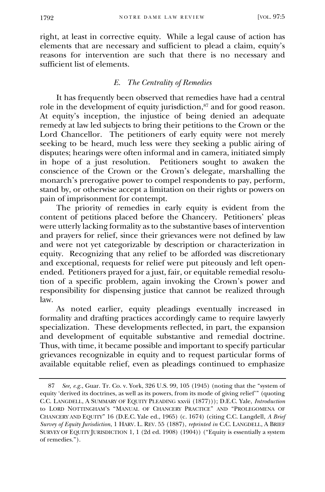right, at least in corrective equity. While a legal cause of action has elements that are necessary and sufficient to plead a claim, equity's reasons for intervention are such that there is no necessary and sufficient list of elements.

# *E. The Centrality of Remedies*

<span id="page-29-0"></span>It has frequently been observed that remedies have had a central role in the development of equity jurisdiction,<sup>87</sup> and for good reason. At equity's inception, the injustice of being denied an adequate remedy at law led subjects to bring their petitions to the Crown or the Lord Chancellor. The petitioners of early equity were not merely seeking to be heard, much less were they seeking a public airing of disputes; hearings were often informal and in camera, initiated simply in hope of a just resolution. Petitioners sought to awaken the conscience of the Crown or the Crown's delegate, marshalling the monarch's prerogative power to compel respondents to pay, perform, stand by, or otherwise accept a limitation on their rights or powers on pain of imprisonment for contempt.

The priority of remedies in early equity is evident from the content of petitions placed before the Chancery. Petitioners' pleas were utterly lacking formality as to the substantive bases of intervention and prayers for relief, since their grievances were not defined by law and were not yet categorizable by description or characterization in equity. Recognizing that any relief to be afforded was discretionary and exceptional, requests for relief were put piteously and left openended. Petitioners prayed for a just, fair, or equitable remedial resolution of a specific problem, again invoking the Crown's power and responsibility for dispensing justice that cannot be realized through law.

As noted earlier, equity pleadings eventually increased in formality and drafting practices accordingly came to require lawyerly specialization. These developments reflected, in part, the expansion and development of equitable substantive and remedial doctrine. Thus, with time, it became possible and important to specify particular grievances recognizable in equity and to request particular forms of available equitable relief, even as pleadings continued to emphasize

<sup>87</sup> *See, e.g.*, Guar. Tr. Co. v. York, 326 U.S. 99, 105 (1945) (noting that the "system of equity 'derived its doctrines, as well as its powers, from its mode of giving relief'" (quoting C.C. LANGDELL, A SUMMARY OF EQUITY PLEADING xxvii (1877))); D.E.C. Yale, *Introduction* to LORD NOTTINGHAM'S "MANUAL OF CHANCERY PRACTICE" AND "PROLEGOMENA OF CHANCERY AND EQUITY" 16 (D.E.C. Yale ed., 1965) (c. 1674) (citing C.C. Langdell, *A Brief Survey of Equity Jurisdiction*, 1 HARV. L. REV. 55 (1887), *reprinted in* C.C. LANGDELL, A BRIEF SURVEY OF EQUITY JURISDICTION 1, 1 (2d ed. 1908) (1904)) ("Equity is essentially a system of remedies.").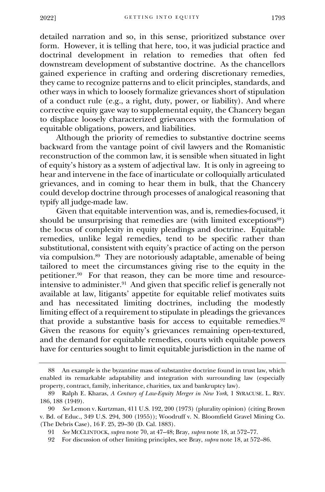detailed narration and so, in this sense, prioritized substance over form. However, it is telling that here, too, it was judicial practice and doctrinal development in relation to remedies that often fed downstream development of substantive doctrine. As the chancellors gained experience in crafting and ordering discretionary remedies, they came to recognize patterns and to elicit principles, standards, and other ways in which to loosely formalize grievances short of stipulation of a conduct rule (e.g., a right, duty, power, or liability). And where corrective equity gave way to supplemental equity, the Chancery began to displace loosely characterized grievances with the formulation of equitable obligations, powers, and liabilities.

Although the priority of remedies to substantive doctrine seems backward from the vantage point of civil lawyers and the Romanistic reconstruction of the common law, it is sensible when situated in light of equity's history as a system of adjectival law. It is only in agreeing to hear and intervene in the face of inarticulate or colloquially articulated grievances, and in coming to hear them in bulk, that the Chancery could develop doctrine through processes of analogical reasoning that typify all judge-made law.

Given that equitable intervention was, and is, remedies-focused, it should be unsurprising that remedies are (with limited exceptions<sup>88</sup>) the locus of complexity in equity pleadings and doctrine. Equitable remedies, unlike legal remedies, tend to be specific rather than substitutional, consistent with equity's practice of acting on the person via compulsion.<sup>89</sup> They are notoriously adaptable, amenable of being tailored to meet the circumstances giving rise to the equity in the petitioner.<sup>90</sup> For that reason, they can be more time and resourceintensive to administer.<sup>91</sup> And given that specific relief is generally not available at law, litigants' appetite for equitable relief motivates suits and has necessitated limiting doctrines, including the modestly limiting effect of a requirement to stipulate in pleadings the grievances that provide a substantive basis for access to equitable remedies.<sup>92</sup> Given the reasons for equity's grievances remaining open-textured, and the demand for equitable remedies, courts with equitable powers have for centuries sought to limit equitable jurisdiction in the name of

<sup>88</sup> An example is the byzantine mass of substantive doctrine found in trust law, which enabled its remarkable adaptability and integration with surrounding law (especially property, contract, family, inheritance, charities, tax and bankruptcy law).

<sup>89</sup> Ralph E. Kharas, *A Century of Law-Equity Merger in New York*, 1 SYRACUSE. L. REV. 186, 188 (1949).

<sup>90</sup> *See* Lemon v. Kurtzman, 411 U.S. 192, 200 (1973) (plurality opinion) (citing Brown v. Bd. of Educ., 349 U.S. 294, 300 (1955)); Woodruff v. N. Bloomfield Gravel Mining Co. (The Debris Case), 16 F. 25, 29–30 (D. Cal. 1883).

<sup>91</sup> *See* MCCLINTOCK, *supra* note 70, at 47–48; Bray, *supra* note 18, at 572–77.

<sup>92</sup> For discussion of other limiting principles, see Bray, *supra* note 18, at 572–86.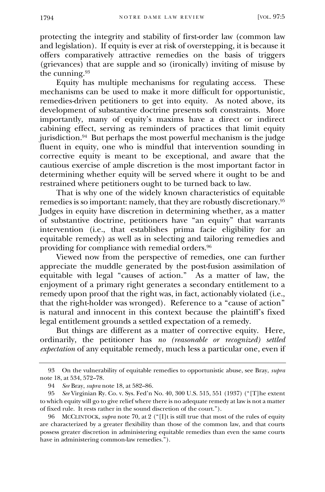protecting the integrity and stability of first-order law (common law and legislation). If equity is ever at risk of overstepping, it is because it offers comparatively attractive remedies on the basis of triggers (grievances) that are supple and so (ironically) inviting of misuse by the cunning.<sup>93</sup>

Equity has multiple mechanisms for regulating access. These mechanisms can be used to make it more difficult for opportunistic, remedies-driven petitioners to get into equity. As noted above, its development of substantive doctrine presents soft constraints. More importantly, many of equity's maxims have a direct or indirect cabining effect, serving as reminders of practices that limit equity jurisdiction.<sup>94</sup> But perhaps the most powerful mechanism is the judge fluent in equity, one who is mindful that intervention sounding in corrective equity is meant to be exceptional, and aware that the cautious exercise of ample discretion is the most important factor in determining whether equity will be served where it ought to be and restrained where petitioners ought to be turned back to law.

That is why one of the widely known characteristics of equitable remedies is so important: namely, that they are robustly discretionary.<sup>95</sup> Judges in equity have discretion in determining whether, as a matter of substantive doctrine, petitioners have "an equity" that warrants intervention (i.e., that establishes prima facie eligibility for an equitable remedy) as well as in selecting and tailoring remedies and providing for compliance with remedial orders.<sup>96</sup>

Viewed now from the perspective of remedies, one can further appreciate the muddle generated by the post-fusion assimilation of equitable with legal "causes of action." As a matter of law, the enjoyment of a primary right generates a secondary entitlement to a remedy upon proof that the right was, in fact, actionably violated (i.e., that the right-holder was wronged). Reference to a "cause of action" is natural and innocent in this context because the plaintiff's fixed legal entitlement grounds a settled expectation of a remedy.

But things are different as a matter of corrective equity. Here, ordinarily, the petitioner has *no (reasonable or recognized) settled expectation* of any equitable remedy, much less a particular one, even if

<sup>93</sup> On the vulnerability of equitable remedies to opportunistic abuse, see Bray, *supra*  note 18, at 534, 572–78.

<sup>94</sup> *See* Bray, *supra* note 18, at 582–86.

<sup>95</sup> *See* Virginian Ry. Co. v. Sys. Fed'n No. 40, 300 U.S. 515, 551 (1937) ("[T]he extent to which equity will go to give relief where there is no adequate remedy at law is not a matter of fixed rule. It rests rather in the sound discretion of the court.").

<sup>96</sup> MCCLINTOCK, *supra* note 70, at 2 ("[I]t is still true that most of the rules of equity are characterized by a greater flexibility than those of the common law, and that courts possess greater discretion in administering equitable remedies than even the same courts have in administering common-law remedies.").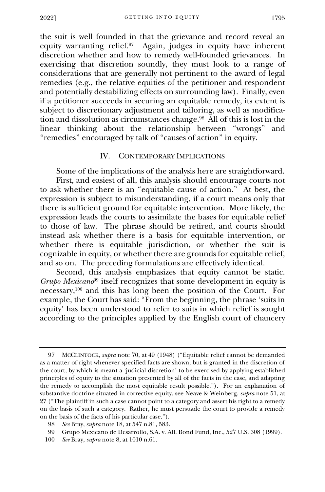the suit is well founded in that the grievance and record reveal an equity warranting relief.<sup>97</sup> Again, judges in equity have inherent discretion whether and how to remedy well-founded grievances. In exercising that discretion soundly, they must look to a range of considerations that are generally not pertinent to the award of legal remedies (e.g., the relative equities of the petitioner and respondent and potentially destabilizing effects on surrounding law). Finally, even if a petitioner succeeds in securing an equitable remedy, its extent is subject to discretionary adjustment and tailoring, as well as modification and dissolution as circumstances change.<sup>98</sup> All of this is lost in the linear thinking about the relationship between "wrongs" and "remedies" encouraged by talk of "causes of action" in equity.

# IV. CONTEMPORARY IMPLICATIONS

<span id="page-32-0"></span>Some of the implications of the analysis here are straightforward. First, and easiest of all, this analysis should encourage courts not to ask whether there is an "equitable cause of action." At best, the expression is subject to misunderstanding, if a court means only that there is sufficient ground for equitable intervention. More likely, the expression leads the courts to assimilate the bases for equitable relief to those of law. The phrase should be retired, and courts should instead ask whether there is a basis for equitable intervention, or whether there is equitable jurisdiction, or whether the suit is cognizable in equity, or whether there are grounds for equitable relief, and so on. The preceding formulations are effectively identical.

Second, this analysis emphasizes that equity cannot be static. *Grupo Mexicano*<sup>99</sup> itself recognizes that some development in equity is necessary,<sup>100</sup> and this has long been the position of the Court. For example, the Court has said: "From the beginning, the phrase 'suits in equity' has been understood to refer to suits in which relief is sought according to the principles applied by the English court of chancery

<sup>97</sup> MCCLINTOCK, *supra* note 70, at 49 (1948) ("Equitable relief cannot be demanded as a matter of right whenever specified facts are shown; but is granted in the discretion of the court, by which is meant a 'judicial discretion' to be exercised by applying established principles of equity to the situation presented by all of the facts in the case, and adapting the remedy to accomplish the most equitable result possible."). For an explanation of substantive doctrine situated in corrective equity, see Neave & Weinberg, *supra* note 51, at 27 ("The plaintiff in such a case cannot point to a category and assert his right to a remedy on the basis of such a category. Rather, he must persuade the court to provide a remedy on the basis of the facts of his particular case.").

<sup>98</sup> *See* Bray, *supra* note 18, at 547 n.81, 583.

<sup>99</sup> Grupo Mexicano de Desarrollo, S.A. v. All. Bond Fund, Inc., 527 U.S. 308 (1999).

<sup>100</sup> *See* Bray, *supra* note 8, at 1010 n.61.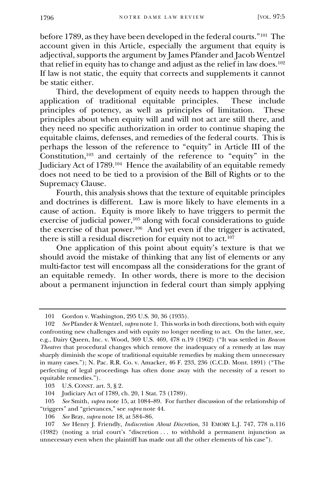before 1789, as they have been developed in the federal courts."<sup>101</sup> The account given in this Article, especially the argument that equity is adjectival, supports the argument by James Pfander and Jacob Wentzel that relief in equity has to change and adjust as the relief in law does. $102$ If law is not static, the equity that corrects and supplements it cannot be static either.

Third, the development of equity needs to happen through the ication of traditional equitable principles. These include application of traditional equitable principles. principles of potency, as well as principles of limitation. These principles about when equity will and will not act are still there, and they need no specific authorization in order to continue shaping the equitable claims, defenses, and remedies of the federal courts. This is perhaps the lesson of the reference to "equity" in Article III of the Constitution,<sup>103</sup> and certainly of the reference to "equity" in the Judiciary Act of 1789.<sup>104</sup> Hence the availability of an equitable remedy does not need to be tied to a provision of the Bill of Rights or to the Supremacy Clause.

Fourth, this analysis shows that the texture of equitable principles and doctrines is different. Law is more likely to have elements in a cause of action. Equity is more likely to have triggers to permit the exercise of judicial power,<sup>105</sup> along with focal considerations to guide the exercise of that power.<sup>106</sup> And yet even if the trigger is activated, there is still a residual discretion for equity not to act.<sup>107</sup>

One application of this point about equity's texture is that we should avoid the mistake of thinking that any list of elements or any multi-factor test will encompass all the considerations for the grant of an equitable remedy. In other words, there is more to the decision about a permanent injunction in federal court than simply applying

<sup>101</sup> Gordon v. Washington, 295 U.S. 30, 36 (1935).

<sup>102</sup> *See* Pfander & Wentzel, *supra* note 1. This works in both directions, both with equity confronting new challenges and with equity no longer needing to act. On the latter, see, e.g., Dairy Queen, Inc. v. Wood, 369 U.S. 469, 478 n.19 (1962) ("It was settled in *Beacon Theatres* that procedural changes which remove the inadequacy of a remedy at law may sharply diminish the scope of traditional equitable remedies by making them unnecessary in many cases."); N. Pac. R.R. Co. v. Amacker, 46 F. 233, 236 (C.C.D. Mont. 1891) ("The perfecting of legal proceedings has often done away with the necessity of a resort to equitable remedies.").

<sup>103</sup> U.S. CONST. art. 3, § 2.

<sup>104</sup> Judiciary Act of 1789, ch. 20, 1 Stat. 73 (1789).

<sup>105</sup> *See* Smith, *supra* note 15, at 1084–89. For further discussion of the relationship of "triggers" and "grievances," see *supra* note 44.

<sup>106</sup> *See* Bray, *supra* note 18, at 584–86.

<sup>107</sup> *See* Henry J. Friendly, *Indiscretion About Discretion*, 31 EMORY L.J. 747, 778 n.116 (1982) (noting a trial court's "discretion . . . to withhold a permanent injunction as unnecessary even when the plaintiff has made out all the other elements of his case").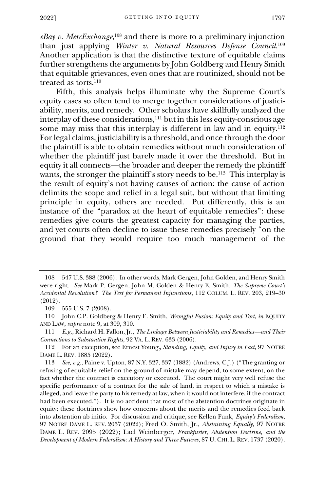*eBay v. MercExchange*, <sup>108</sup> and there is more to a preliminary injunction than just applying *Winter v. Natural Resources Defense Council*. 109 Another application is that the distinctive texture of equitable claims further strengthens the arguments by John Goldberg and Henry Smith that equitable grievances, even ones that are routinized, should not be treated as torts.<sup>110</sup>

Fifth, this analysis helps illuminate why the Supreme Court's equity cases so often tend to merge together considerations of justiciability, merits, and remedy. Other scholars have skillfully analyzed the interplay of these considerations,<sup>111</sup> but in this less equity-conscious age some may miss that this interplay is different in law and in equity.<sup>112</sup> For legal claims, justiciability is a threshold, and once through the door the plaintiff is able to obtain remedies without much consideration of whether the plaintiff just barely made it over the threshold. But in equity it all connects—the broader and deeper the remedy the plaintiff wants, the stronger the plaintiff's story needs to be.<sup>113</sup> This interplay is the result of equity's not having causes of action: the cause of action delimits the scope and relief in a legal suit, but without that limiting principle in equity, others are needed. Put differently, this is an instance of the "paradox at the heart of equitable remedies": these remedies give courts the greatest capacity for managing the parties, and yet courts often decline to issue these remedies precisely "on the ground that they would require too much management of the

<sup>108</sup> 547 U.S. 388 (2006). In other words, Mark Gergen, John Golden, and Henry Smith were right. *See* Mark P. Gergen, John M. Golden & Henry E. Smith, *The Supreme Court's Accidental Revolution? The Test for Permanent Injunctions*, 112 COLUM. L. REV. 203, 219–30 (2012).

<sup>109</sup> 555 U.S. 7 (2008).

<sup>110</sup> John C.P. Goldberg & Henry E. Smith, *Wrongful Fusion: Equity and Tort*, *in* EQUITY AND LAW, *supra* note 9, at 309, 310.

<sup>111</sup> *E.g.*, Richard H. Fallon, Jr., *The Linkage Between Justiciability and Remedies—and Their Connections to Substantive Rights*, 92 VA. L. REV. 633 (2006).

<sup>112</sup> For an exception, see Ernest Young, *Standing, Equity, and Injury in Fact*, 97 NOTRE DAME L. REV. 1885 (2022).

<sup>113</sup> *See, e.g.*, Paine v. Upton, 87 N.Y. 327, 337 (1882) (Andrews, C.J.) ("The granting or refusing of equitable relief on the ground of mistake may depend, to some extent, on the fact whether the contract is executory or executed. The court might very well refuse the specific performance of a contract for the sale of land, in respect to which a mistake is alleged, and leave the party to his remedy at law, when it would not interfere, if the contract had been executed."). It is no accident that most of the abstention doctrines originate in equity; these doctrines show how concerns about the merits and the remedies feed back into abstention ab initio. For discussion and critique, see Kellen Funk, *Equity's Federalism*, 97 NOTRE DAME L. REV. 2057 (2022); Fred O. Smith, Jr., *Abstaining Equally*, 97 NOTRE DAME L. REV. 2095 (2022); Lael Weinberger, *Frankfurter, Abstention Doctrine, and the Development of Modern Federalism: A History and Three Futures*, 87 U. CHI. L. REV. 1737 (2020).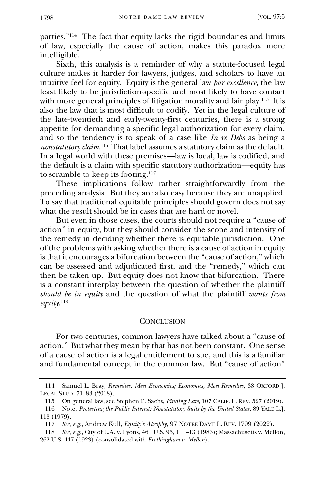parties."<sup>114</sup> The fact that equity lacks the rigid boundaries and limits of law, especially the cause of action, makes this paradox more intelligible.

Sixth, this analysis is a reminder of why a statute-focused legal culture makes it harder for lawyers, judges, and scholars to have an intuitive feel for equity. Equity is the general law *par excellence*, the law least likely to be jurisdiction-specific and most likely to have contact with more general principles of litigation morality and fair play.<sup>115</sup> It is also the law that is most difficult to codify. Yet in the legal culture of the late-twentieth and early-twenty-first centuries, there is a strong appetite for demanding a specific legal authorization for every claim, and so the tendency is to speak of a case like *In re Debs* as being a *nonstatutory claim*. 116 That label assumes a statutory claim as the default. In a legal world with these premises—law is local, law is codified, and the default is a claim with specific statutory authorization—equity has to scramble to keep its footing.<sup>117</sup>

These implications follow rather straightforwardly from the preceding analysis. But they are also easy because they are unapplied. To say that traditional equitable principles should govern does not say what the result should be in cases that are hard or novel.

But even in those cases, the courts should not require a "cause of action" in equity, but they should consider the scope and intensity of the remedy in deciding whether there is equitable jurisdiction. One of the problems with asking whether there is a cause of action in equity is that it encourages a bifurcation between the "cause of action," which can be assessed and adjudicated first, and the "remedy," which can then be taken up. But equity does not know that bifurcation. There is a constant interplay between the question of whether the plaintiff *should be in equity* and the question of what the plaintiff *wants from equity*. 118

#### **CONCLUSION**

<span id="page-35-0"></span>For two centuries, common lawyers have talked about a "cause of action." But what they mean by that has not been constant. One sense of a cause of action is a legal entitlement to sue, and this is a familiar and fundamental concept in the common law. But "cause of action"

<sup>114</sup> Samuel L. Bray, *Remedies, Meet Economics; Economics, Meet Remedies*, 38 OXFORD J. LEGAL STUD. 71, 83 (2018).

<sup>115</sup> On general law, see Stephen E. Sachs, *Finding Law*, 107 CALIF. L. REV. 527 (2019).

<sup>116</sup> Note, *Protecting the Public Interest: Nonstatutory Suits by the United States*, 89 YALE L.J. 118 (1979).

<sup>117</sup> *See, e.g.*, Andrew Kull, *Equity's Atrophy*, 97 NOTRE DAME L. REV. 1799 (2022).

<sup>118</sup> *See, e.g.*, City of L.A. v. Lyons, 461 U.S. 95, 111–13 (1983); Massachusetts v. Mellon, 262 U.S. 447 (1923) (consolidated with *Frothingham v. Mellon*).